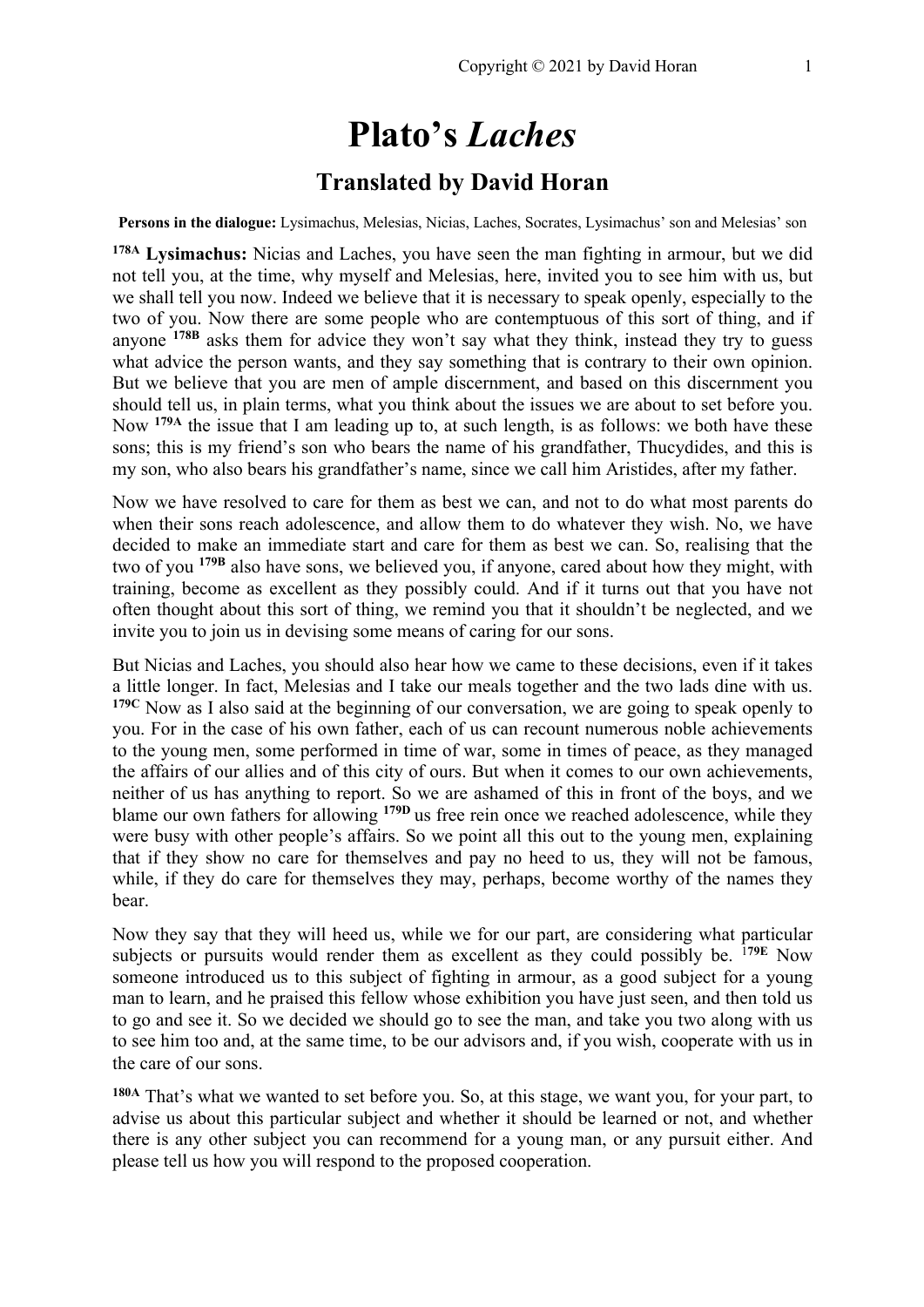# **Plato's** *Laches*

## **Translated by David Horan**

**Persons in the dialogue:** Lysimachus, Melesias, Nicias, Laches, Socrates, Lysimachus' son and Melesias' son

**178A Lysimachus:** Nicias and Laches, you have seen the man fighting in armour, but we did not tell you, at the time, why myself and Melesias, here, invited you to see him with us, but we shall tell you now. Indeed we believe that it is necessary to speak openly, especially to the two of you. Now there are some people who are contemptuous of this sort of thing, and if anyone **178B** asks them for advice they won't say what they think, instead they try to guess what advice the person wants, and they say something that is contrary to their own opinion. But we believe that you are men of ample discernment, and based on this discernment you should tell us, in plain terms, what you think about the issues we are about to set before you. Now **179A** the issue that I am leading up to, at such length, is as follows: we both have these sons; this is my friend's son who bears the name of his grandfather, Thucydides, and this is my son, who also bears his grandfather's name, since we call him Aristides, after my father.

Now we have resolved to care for them as best we can, and not to do what most parents do when their sons reach adolescence, and allow them to do whatever they wish. No, we have decided to make an immediate start and care for them as best we can. So, realising that the two of you **179B** also have sons, we believed you, if anyone, cared about how they might, with training, become as excellent as they possibly could. And if it turns out that you have not often thought about this sort of thing, we remind you that it shouldn't be neglected, and we invite you to join us in devising some means of caring for our sons.

But Nicias and Laches, you should also hear how we came to these decisions, even if it takes a little longer. In fact, Melesias and I take our meals together and the two lads dine with us. **179C** Now as I also said at the beginning of our conversation, we are going to speak openly to you. For in the case of his own father, each of us can recount numerous noble achievements to the young men, some performed in time of war, some in times of peace, as they managed the affairs of our allies and of this city of ours. But when it comes to our own achievements, neither of us has anything to report. So we are ashamed of this in front of the boys, and we blame our own fathers for allowing **179D** us free rein once we reached adolescence, while they were busy with other people's affairs. So we point all this out to the young men, explaining that if they show no care for themselves and pay no heed to us, they will not be famous, while, if they do care for themselves they may, perhaps, become worthy of the names they bear.

Now they say that they will heed us, while we for our part, are considering what particular subjects or pursuits would render them as excellent as they could possibly be. <sup>1</sup>**79E** Now someone introduced us to this subject of fighting in armour, as a good subject for a young man to learn, and he praised this fellow whose exhibition you have just seen, and then told us to go and see it. So we decided we should go to see the man, and take you two along with us to see him too and, at the same time, to be our advisors and, if you wish, cooperate with us in the care of our sons.

**180A** That's what we wanted to set before you. So, at this stage, we want you, for your part, to advise us about this particular subject and whether it should be learned or not, and whether there is any other subject you can recommend for a young man, or any pursuit either. And please tell us how you will respond to the proposed cooperation.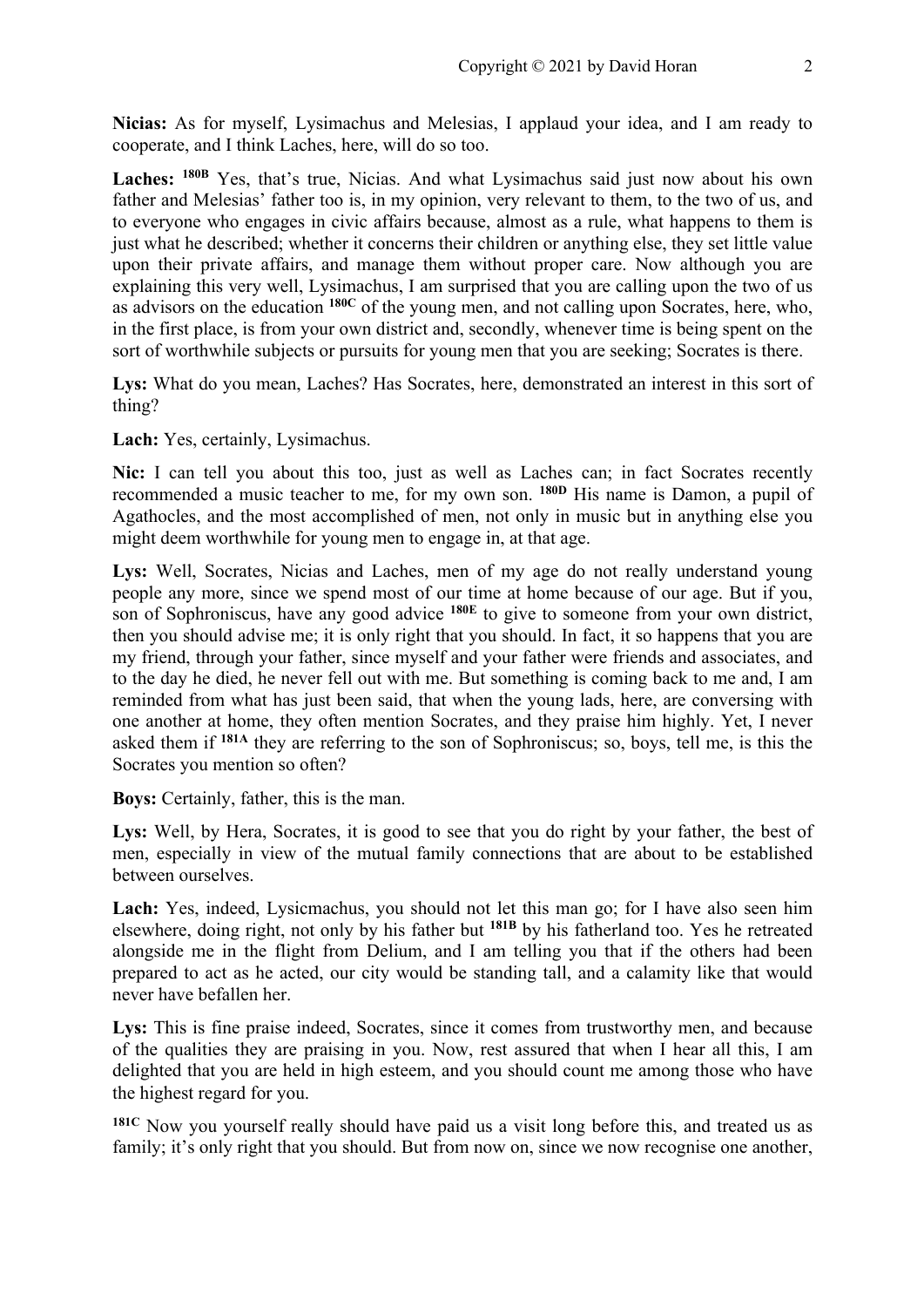**Nicias:** As for myself, Lysimachus and Melesias, I applaud your idea, and I am ready to cooperate, and I think Laches, here, will do so too.

**Laches: 180B** Yes, that's true, Nicias. And what Lysimachus said just now about his own father and Melesias' father too is, in my opinion, very relevant to them, to the two of us, and to everyone who engages in civic affairs because, almost as a rule, what happens to them is just what he described; whether it concerns their children or anything else, they set little value upon their private affairs, and manage them without proper care. Now although you are explaining this very well, Lysimachus, I am surprised that you are calling upon the two of us as advisors on the education **180C** of the young men, and not calling upon Socrates, here, who, in the first place, is from your own district and, secondly, whenever time is being spent on the sort of worthwhile subjects or pursuits for young men that you are seeking; Socrates is there.

Lys: What do you mean, Laches? Has Socrates, here, demonstrated an interest in this sort of thing?

**Lach:** Yes, certainly, Lysimachus.

**Nic:** I can tell you about this too, just as well as Laches can; in fact Socrates recently recommended a music teacher to me, for my own son. **180D** His name is Damon, a pupil of Agathocles, and the most accomplished of men, not only in music but in anything else you might deem worthwhile for young men to engage in, at that age.

Lys: Well, Socrates, Nicias and Laches, men of my age do not really understand young people any more, since we spend most of our time at home because of our age. But if you, son of Sophroniscus, have any good advice **180E** to give to someone from your own district, then you should advise me; it is only right that you should. In fact, it so happens that you are my friend, through your father, since myself and your father were friends and associates, and to the day he died, he never fell out with me. But something is coming back to me and, I am reminded from what has just been said, that when the young lads, here, are conversing with one another at home, they often mention Socrates, and they praise him highly. Yet, I never asked them if **181A** they are referring to the son of Sophroniscus; so, boys, tell me, is this the Socrates you mention so often?

**Boys:** Certainly, father, this is the man.

Lys: Well, by Hera, Socrates, it is good to see that you do right by your father, the best of men, especially in view of the mutual family connections that are about to be established between ourselves.

Lach: Yes, indeed, Lysicmachus, you should not let this man go; for I have also seen him elsewhere, doing right, not only by his father but **181B** by his fatherland too. Yes he retreated alongside me in the flight from Delium, and I am telling you that if the others had been prepared to act as he acted, our city would be standing tall, and a calamity like that would never have befallen her.

Lys: This is fine praise indeed, Socrates, since it comes from trustworthy men, and because of the qualities they are praising in you. Now, rest assured that when I hear all this, I am delighted that you are held in high esteem, and you should count me among those who have the highest regard for you.

**181C** Now you yourself really should have paid us a visit long before this, and treated us as family; it's only right that you should. But from now on, since we now recognise one another,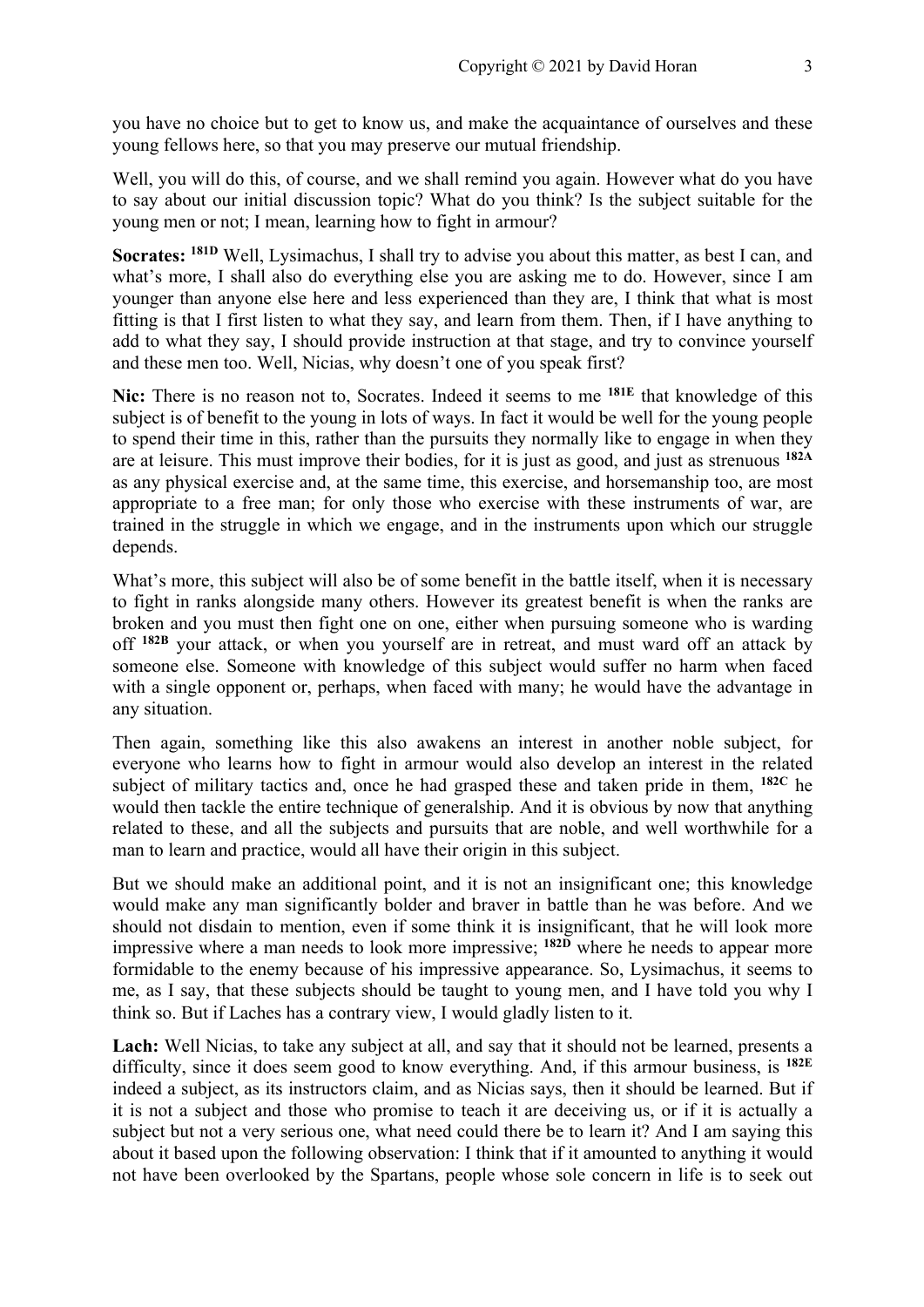you have no choice but to get to know us, and make the acquaintance of ourselves and these young fellows here, so that you may preserve our mutual friendship.

Well, you will do this, of course, and we shall remind you again. However what do you have to say about our initial discussion topic? What do you think? Is the subject suitable for the young men or not; I mean, learning how to fight in armour?

**Socrates: 181D** Well, Lysimachus, I shall try to advise you about this matter, as best I can, and what's more, I shall also do everything else you are asking me to do. However, since I am younger than anyone else here and less experienced than they are, I think that what is most fitting is that I first listen to what they say, and learn from them. Then, if I have anything to add to what they say, I should provide instruction at that stage, and try to convince yourself and these men too. Well, Nicias, why doesn't one of you speak first?

**Nic:** There is no reason not to, Socrates. Indeed it seems to me **181E** that knowledge of this subject is of benefit to the young in lots of ways. In fact it would be well for the young people to spend their time in this, rather than the pursuits they normally like to engage in when they are at leisure. This must improve their bodies, for it is just as good, and just as strenuous **182A** as any physical exercise and, at the same time, this exercise, and horsemanship too, are most appropriate to a free man; for only those who exercise with these instruments of war, are trained in the struggle in which we engage, and in the instruments upon which our struggle depends.

What's more, this subject will also be of some benefit in the battle itself, when it is necessary to fight in ranks alongside many others. However its greatest benefit is when the ranks are broken and you must then fight one on one, either when pursuing someone who is warding off **182B** your attack, or when you yourself are in retreat, and must ward off an attack by someone else. Someone with knowledge of this subject would suffer no harm when faced with a single opponent or, perhaps, when faced with many; he would have the advantage in any situation.

Then again, something like this also awakens an interest in another noble subject, for everyone who learns how to fight in armour would also develop an interest in the related subject of military tactics and, once he had grasped these and taken pride in them, **182C** he would then tackle the entire technique of generalship. And it is obvious by now that anything related to these, and all the subjects and pursuits that are noble, and well worthwhile for a man to learn and practice, would all have their origin in this subject.

But we should make an additional point, and it is not an insignificant one; this knowledge would make any man significantly bolder and braver in battle than he was before. And we should not disdain to mention, even if some think it is insignificant, that he will look more impressive where a man needs to look more impressive; **182D** where he needs to appear more formidable to the enemy because of his impressive appearance. So, Lysimachus, it seems to me, as I say, that these subjects should be taught to young men, and I have told you why I think so. But if Laches has a contrary view, I would gladly listen to it.

Lach: Well Nicias, to take any subject at all, and say that it should not be learned, presents a difficulty, since it does seem good to know everything. And, if this armour business, is **182E** indeed a subject, as its instructors claim, and as Nicias says, then it should be learned. But if it is not a subject and those who promise to teach it are deceiving us, or if it is actually a subject but not a very serious one, what need could there be to learn it? And I am saying this about it based upon the following observation: I think that if it amounted to anything it would not have been overlooked by the Spartans, people whose sole concern in life is to seek out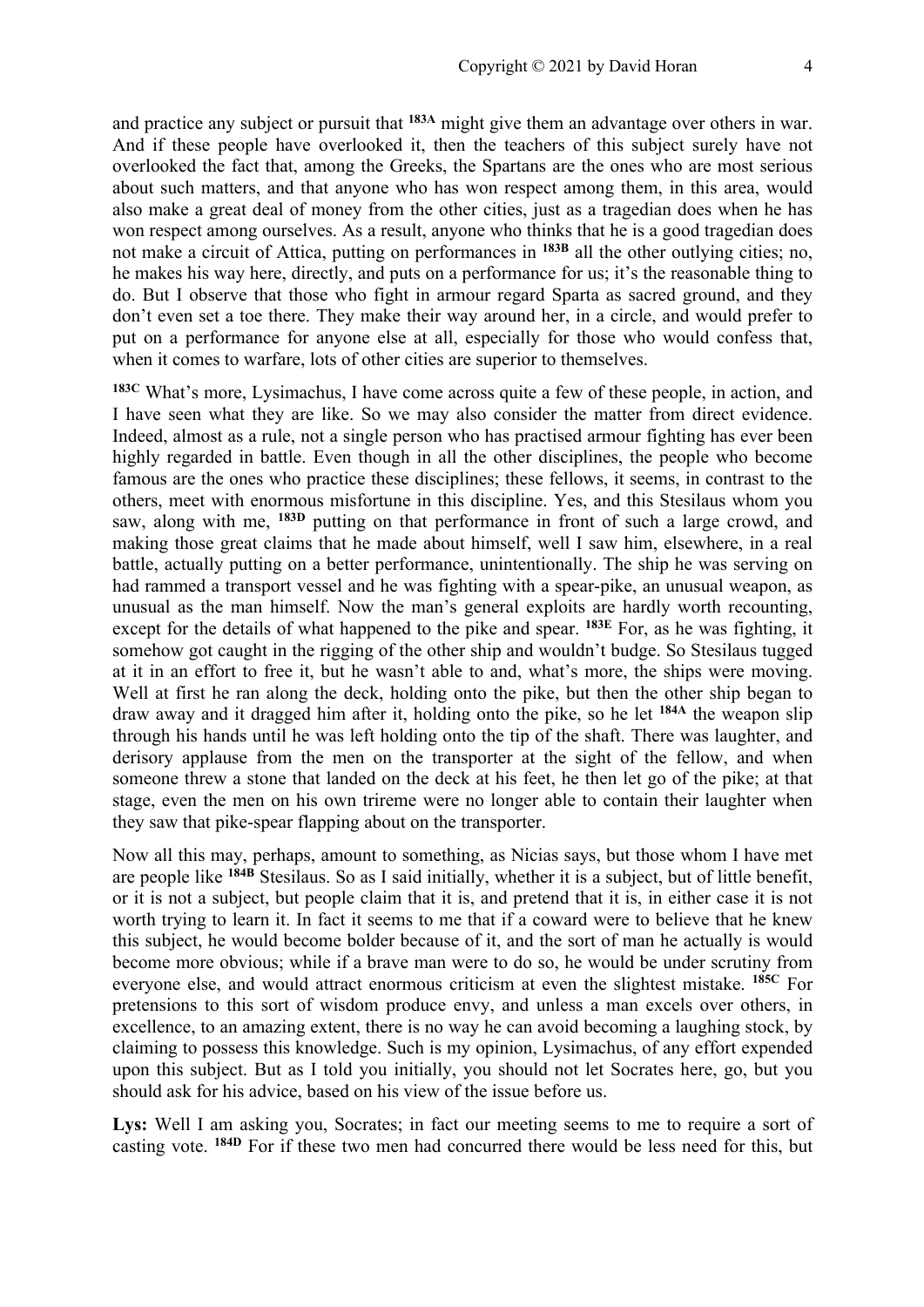and practice any subject or pursuit that **183A** might give them an advantage over others in war. And if these people have overlooked it, then the teachers of this subject surely have not overlooked the fact that, among the Greeks, the Spartans are the ones who are most serious about such matters, and that anyone who has won respect among them, in this area, would also make a great deal of money from the other cities, just as a tragedian does when he has won respect among ourselves. As a result, anyone who thinks that he is a good tragedian does not make a circuit of Attica, putting on performances in **183B** all the other outlying cities; no, he makes his way here, directly, and puts on a performance for us; it's the reasonable thing to do. But I observe that those who fight in armour regard Sparta as sacred ground, and they don't even set a toe there. They make their way around her, in a circle, and would prefer to put on a performance for anyone else at all, especially for those who would confess that, when it comes to warfare, lots of other cities are superior to themselves.

**183C** What's more, Lysimachus, I have come across quite a few of these people, in action, and I have seen what they are like. So we may also consider the matter from direct evidence. Indeed, almost as a rule, not a single person who has practised armour fighting has ever been highly regarded in battle. Even though in all the other disciplines, the people who become famous are the ones who practice these disciplines; these fellows, it seems, in contrast to the others, meet with enormous misfortune in this discipline. Yes, and this Stesilaus whom you saw, along with me, **183D** putting on that performance in front of such a large crowd, and making those great claims that he made about himself, well I saw him, elsewhere, in a real battle, actually putting on a better performance, unintentionally. The ship he was serving on had rammed a transport vessel and he was fighting with a spear-pike, an unusual weapon, as unusual as the man himself. Now the man's general exploits are hardly worth recounting, except for the details of what happened to the pike and spear. **183E** For, as he was fighting, it somehow got caught in the rigging of the other ship and wouldn't budge. So Stesilaus tugged at it in an effort to free it, but he wasn't able to and, what's more, the ships were moving. Well at first he ran along the deck, holding onto the pike, but then the other ship began to draw away and it dragged him after it, holding onto the pike, so he let **184A** the weapon slip through his hands until he was left holding onto the tip of the shaft. There was laughter, and derisory applause from the men on the transporter at the sight of the fellow, and when someone threw a stone that landed on the deck at his feet, he then let go of the pike; at that stage, even the men on his own trireme were no longer able to contain their laughter when they saw that pike-spear flapping about on the transporter.

Now all this may, perhaps, amount to something, as Nicias says, but those whom I have met are people like **184B** Stesilaus. So as I said initially, whether it is a subject, but of little benefit, or it is not a subject, but people claim that it is, and pretend that it is, in either case it is not worth trying to learn it. In fact it seems to me that if a coward were to believe that he knew this subject, he would become bolder because of it, and the sort of man he actually is would become more obvious; while if a brave man were to do so, he would be under scrutiny from everyone else, and would attract enormous criticism at even the slightest mistake. **185C** For pretensions to this sort of wisdom produce envy, and unless a man excels over others, in excellence, to an amazing extent, there is no way he can avoid becoming a laughing stock, by claiming to possess this knowledge. Such is my opinion, Lysimachus, of any effort expended upon this subject. But as I told you initially, you should not let Socrates here, go, but you should ask for his advice, based on his view of the issue before us.

Lys: Well I am asking you, Socrates; in fact our meeting seems to me to require a sort of casting vote. **184D** For if these two men had concurred there would be less need for this, but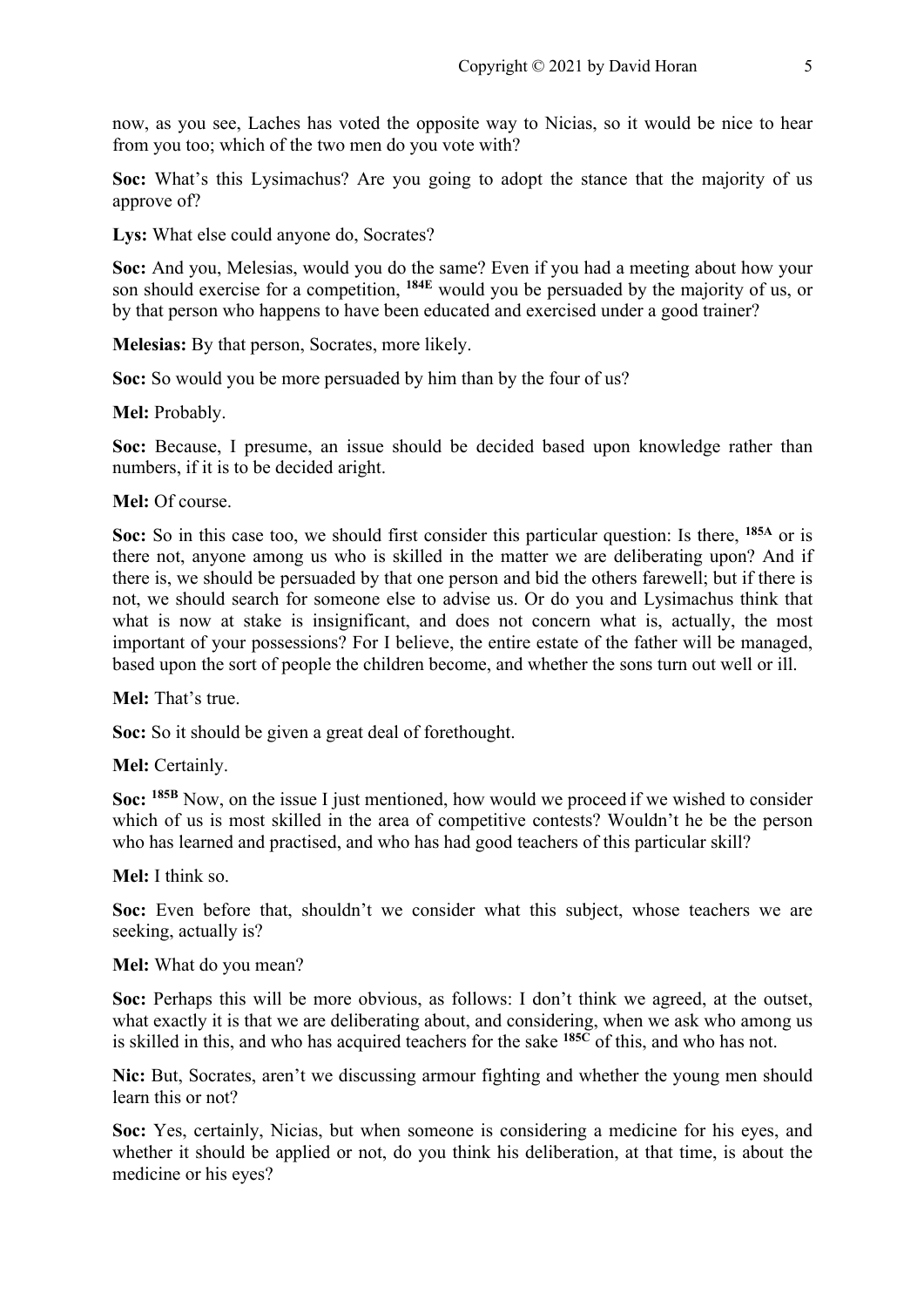now, as you see, Laches has voted the opposite way to Nicias, so it would be nice to hear from you too; which of the two men do you vote with?

**Soc:** What's this Lysimachus? Are you going to adopt the stance that the majority of us approve of?

**Lys:** What else could anyone do, Socrates?

**Soc:** And you, Melesias, would you do the same? Even if you had a meeting about how your son should exercise for a competition, **184E** would you be persuaded by the majority of us, or by that person who happens to have been educated and exercised under a good trainer?

**Melesias:** By that person, Socrates, more likely.

**Soc:** So would you be more persuaded by him than by the four of us?

**Mel:** Probably.

**Soc:** Because, I presume, an issue should be decided based upon knowledge rather than numbers, if it is to be decided aright.

#### **Mel:** Of course.

**Soc:** So in this case too, we should first consider this particular question: Is there, **185A** or is there not, anyone among us who is skilled in the matter we are deliberating upon? And if there is, we should be persuaded by that one person and bid the others farewell; but if there is not, we should search for someone else to advise us. Or do you and Lysimachus think that what is now at stake is insignificant, and does not concern what is, actually, the most important of your possessions? For I believe, the entire estate of the father will be managed, based upon the sort of people the children become, and whether the sons turn out well or ill.

**Mel:** That's true.

**Soc:** So it should be given a great deal of forethought.

**Mel:** Certainly.

**Soc: 185B** Now, on the issue I just mentioned, how would we proceed if we wished to consider which of us is most skilled in the area of competitive contests? Wouldn't he be the person who has learned and practised, and who has had good teachers of this particular skill?

**Mel:** I think so.

**Soc:** Even before that, shouldn't we consider what this subject, whose teachers we are seeking, actually is?

#### **Mel:** What do you mean?

**Soc:** Perhaps this will be more obvious, as follows: I don't think we agreed, at the outset, what exactly it is that we are deliberating about, and considering, when we ask who among us is skilled in this, and who has acquired teachers for the sake **185C** of this, and who has not.

**Nic:** But, Socrates, aren't we discussing armour fighting and whether the young men should learn this or not?

**Soc:** Yes, certainly, Nicias, but when someone is considering a medicine for his eyes, and whether it should be applied or not, do you think his deliberation, at that time, is about the medicine or his eyes?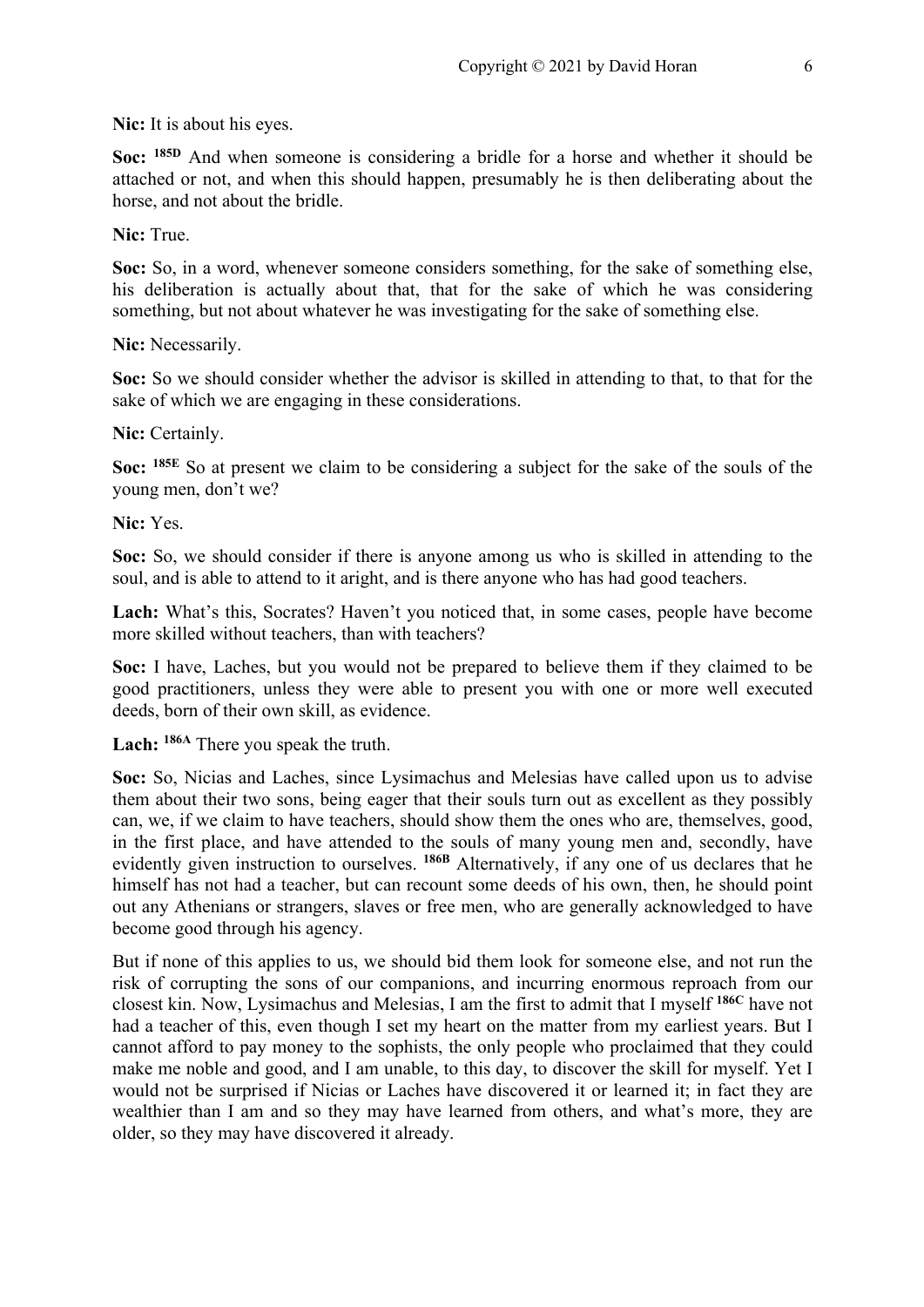**Nic:** It is about his eyes.

**Soc: 185D** And when someone is considering a bridle for a horse and whether it should be attached or not, and when this should happen, presumably he is then deliberating about the horse, and not about the bridle.

**Nic:** True.

**Soc:** So, in a word, whenever someone considers something, for the sake of something else, his deliberation is actually about that, that for the sake of which he was considering something, but not about whatever he was investigating for the sake of something else.

**Nic:** Necessarily.

**Soc:** So we should consider whether the advisor is skilled in attending to that, to that for the sake of which we are engaging in these considerations.

Nic: Certainly.

**Soc: 185E** So at present we claim to be considering a subject for the sake of the souls of the young men, don't we?

**Nic:** Yes.

**Soc:** So, we should consider if there is anyone among us who is skilled in attending to the soul, and is able to attend to it aright, and is there anyone who has had good teachers.

Lach: What's this, Socrates? Haven't you noticed that, in some cases, people have become more skilled without teachers, than with teachers?

**Soc:** I have, Laches, but you would not be prepared to believe them if they claimed to be good practitioners, unless they were able to present you with one or more well executed deeds, born of their own skill, as evidence.

**Lach: 186A** There you speak the truth.

**Soc:** So, Nicias and Laches, since Lysimachus and Melesias have called upon us to advise them about their two sons, being eager that their souls turn out as excellent as they possibly can, we, if we claim to have teachers, should show them the ones who are, themselves, good, in the first place, and have attended to the souls of many young men and, secondly, have evidently given instruction to ourselves. <sup>186B</sup> Alternatively, if any one of us declares that he himself has not had a teacher, but can recount some deeds of his own, then, he should point out any Athenians or strangers, slaves or free men, who are generally acknowledged to have become good through his agency.

But if none of this applies to us, we should bid them look for someone else, and not run the risk of corrupting the sons of our companions, and incurring enormous reproach from our closest kin. Now, Lysimachus and Melesias, I am the first to admit that I myself **186C** have not had a teacher of this, even though I set my heart on the matter from my earliest years. But I cannot afford to pay money to the sophists, the only people who proclaimed that they could make me noble and good, and I am unable, to this day, to discover the skill for myself. Yet I would not be surprised if Nicias or Laches have discovered it or learned it; in fact they are wealthier than I am and so they may have learned from others, and what's more, they are older, so they may have discovered it already.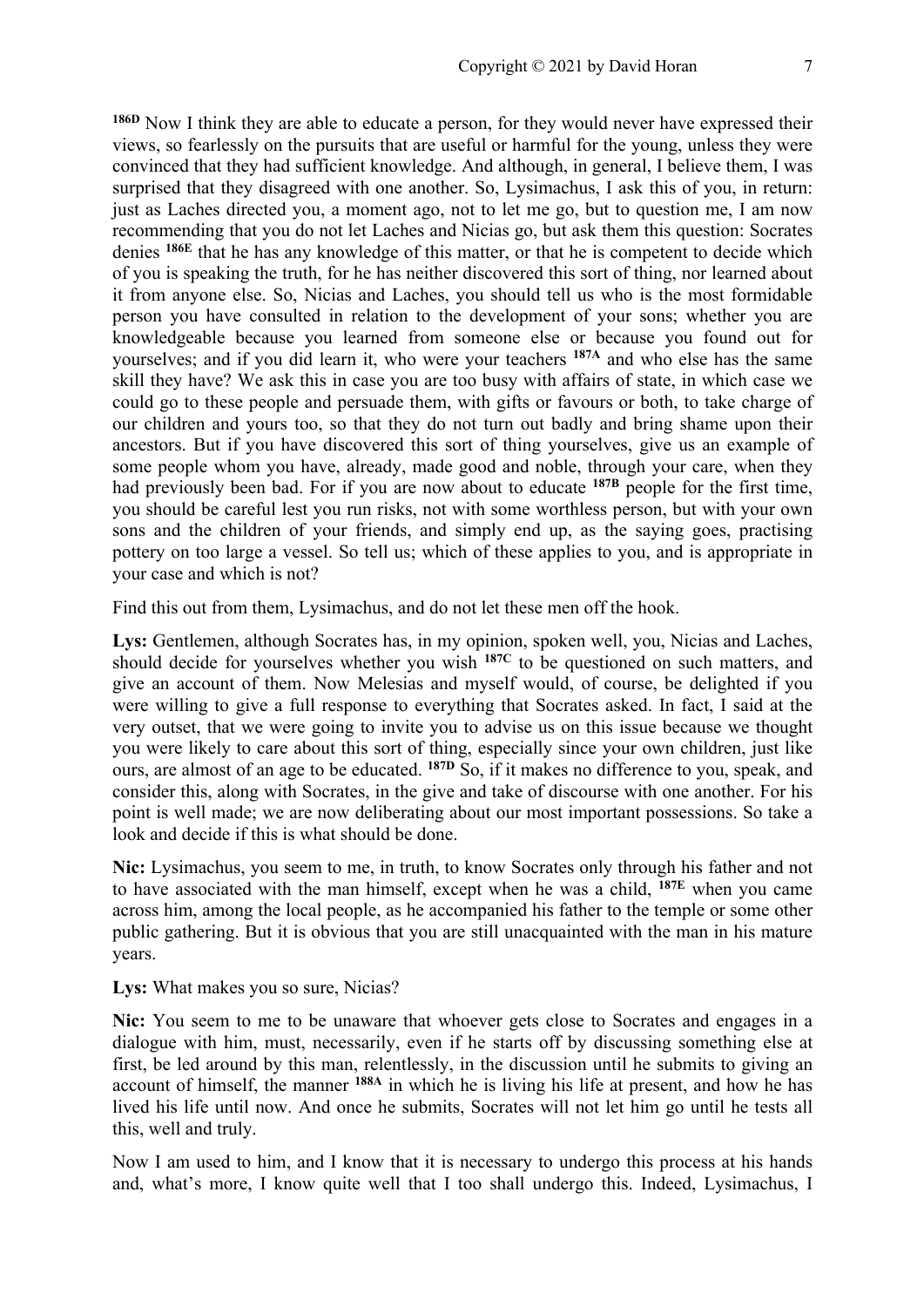**186D** Now I think they are able to educate a person, for they would never have expressed their views, so fearlessly on the pursuits that are useful or harmful for the young, unless they were convinced that they had sufficient knowledge. And although, in general, I believe them, I was surprised that they disagreed with one another. So, Lysimachus, I ask this of you, in return: just as Laches directed you, a moment ago, not to let me go, but to question me, I am now recommending that you do not let Laches and Nicias go, but ask them this question: Socrates denies **186E** that he has any knowledge of this matter, or that he is competent to decide which of you is speaking the truth, for he has neither discovered this sort of thing, nor learned about it from anyone else. So, Nicias and Laches, you should tell us who is the most formidable person you have consulted in relation to the development of your sons; whether you are knowledgeable because you learned from someone else or because you found out for yourselves; and if you did learn it, who were your teachers **187A** and who else has the same skill they have? We ask this in case you are too busy with affairs of state, in which case we could go to these people and persuade them, with gifts or favours or both, to take charge of our children and yours too, so that they do not turn out badly and bring shame upon their ancestors. But if you have discovered this sort of thing yourselves, give us an example of some people whom you have, already, made good and noble, through your care, when they had previously been bad. For if you are now about to educate **187B** people for the first time, you should be careful lest you run risks, not with some worthless person, but with your own sons and the children of your friends, and simply end up, as the saying goes, practising pottery on too large a vessel. So tell us; which of these applies to you, and is appropriate in your case and which is not?

Find this out from them, Lysimachus, and do not let these men off the hook.

**Lys:** Gentlemen, although Socrates has, in my opinion, spoken well, you, Nicias and Laches, should decide for yourselves whether you wish **187C** to be questioned on such matters, and give an account of them. Now Melesias and myself would, of course, be delighted if you were willing to give a full response to everything that Socrates asked. In fact, I said at the very outset, that we were going to invite you to advise us on this issue because we thought you were likely to care about this sort of thing, especially since your own children, just like ours, are almost of an age to be educated. **187D** So, if it makes no difference to you, speak, and consider this, along with Socrates, in the give and take of discourse with one another. For his point is well made; we are now deliberating about our most important possessions. So take a look and decide if this is what should be done.

**Nic:** Lysimachus, you seem to me, in truth, to know Socrates only through his father and not to have associated with the man himself, except when he was a child, **187E** when you came across him, among the local people, as he accompanied his father to the temple or some other public gathering. But it is obvious that you are still unacquainted with the man in his mature years.

#### **Lys:** What makes you so sure, Nicias?

**Nic:** You seem to me to be unaware that whoever gets close to Socrates and engages in a dialogue with him, must, necessarily, even if he starts off by discussing something else at first, be led around by this man, relentlessly, in the discussion until he submits to giving an account of himself, the manner **188A** in which he is living his life at present, and how he has lived his life until now. And once he submits, Socrates will not let him go until he tests all this, well and truly.

Now I am used to him, and I know that it is necessary to undergo this process at his hands and, what's more, I know quite well that I too shall undergo this. Indeed, Lysimachus, I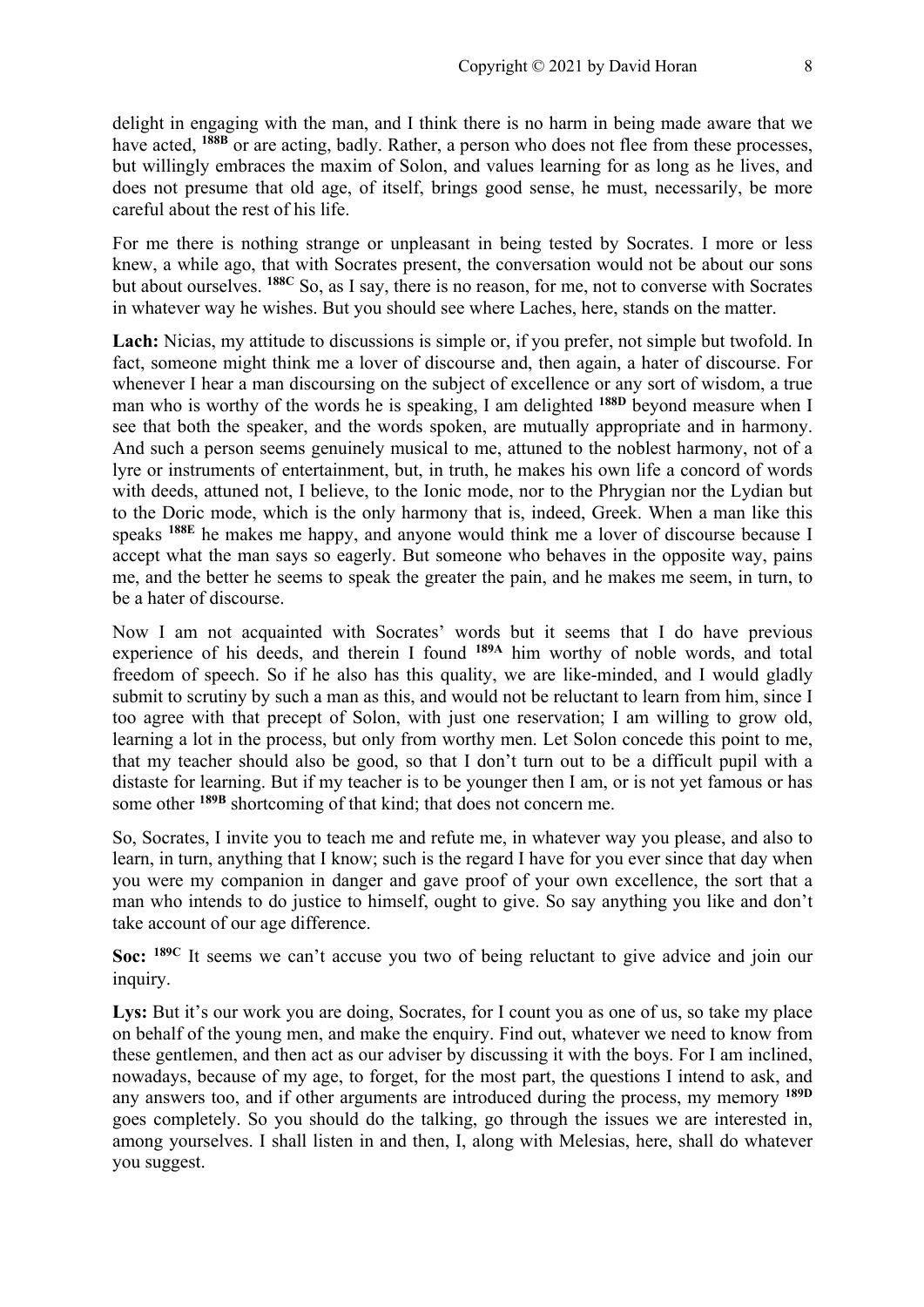delight in engaging with the man, and I think there is no harm in being made aware that we have acted, <sup>188B</sup> or are acting, badly. Rather, a person who does not flee from these processes, but willingly embraces the maxim of Solon, and values learning for as long as he lives, and does not presume that old age, of itself, brings good sense, he must, necessarily, be more careful about the rest of his life.

For me there is nothing strange or unpleasant in being tested by Socrates. I more or less knew, a while ago, that with Socrates present, the conversation would not be about our sons but about ourselves. **188C** So, as I say, there is no reason, for me, not to converse with Socrates in whatever way he wishes. But you should see where Laches, here, stands on the matter.

Lach: Nicias, my attitude to discussions is simple or, if you prefer, not simple but twofold. In fact, someone might think me a lover of discourse and, then again, a hater of discourse. For whenever I hear a man discoursing on the subject of excellence or any sort of wisdom, a true man who is worthy of the words he is speaking, I am delighted **188D** beyond measure when I see that both the speaker, and the words spoken, are mutually appropriate and in harmony. And such a person seems genuinely musical to me, attuned to the noblest harmony, not of a lyre or instruments of entertainment, but, in truth, he makes his own life a concord of words with deeds, attuned not, I believe, to the Ionic mode, nor to the Phrygian nor the Lydian but to the Doric mode, which is the only harmony that is, indeed, Greek. When a man like this speaks **188E** he makes me happy, and anyone would think me a lover of discourse because I accept what the man says so eagerly. But someone who behaves in the opposite way, pains me, and the better he seems to speak the greater the pain, and he makes me seem, in turn, to be a hater of discourse.

Now I am not acquainted with Socrates' words but it seems that I do have previous experience of his deeds, and therein I found <sup>189A</sup> him worthy of noble words, and total freedom of speech. So if he also has this quality, we are like-minded, and I would gladly submit to scrutiny by such a man as this, and would not be reluctant to learn from him, since I too agree with that precept of Solon, with just one reservation; I am willing to grow old, learning a lot in the process, but only from worthy men. Let Solon concede this point to me, that my teacher should also be good, so that I don't turn out to be a difficult pupil with a distaste for learning. But if my teacher is to be younger then I am, or is not yet famous or has some other **189B** shortcoming of that kind; that does not concern me.

So, Socrates, I invite you to teach me and refute me, in whatever way you please, and also to learn, in turn, anything that I know; such is the regard I have for you ever since that day when you were my companion in danger and gave proof of your own excellence, the sort that a man who intends to do justice to himself, ought to give. So say anything you like and don't take account of our age difference.

**Soc: 189C** It seems we can't accuse you two of being reluctant to give advice and join our inquiry.

Lys: But it's our work you are doing, Socrates, for I count you as one of us, so take my place on behalf of the young men, and make the enquiry. Find out, whatever we need to know from these gentlemen, and then act as our adviser by discussing it with the boys. For I am inclined, nowadays, because of my age, to forget, for the most part, the questions I intend to ask, and any answers too, and if other arguments are introduced during the process, my memory **189D** goes completely. So you should do the talking, go through the issues we are interested in, among yourselves. I shall listen in and then, I, along with Melesias, here, shall do whatever you suggest.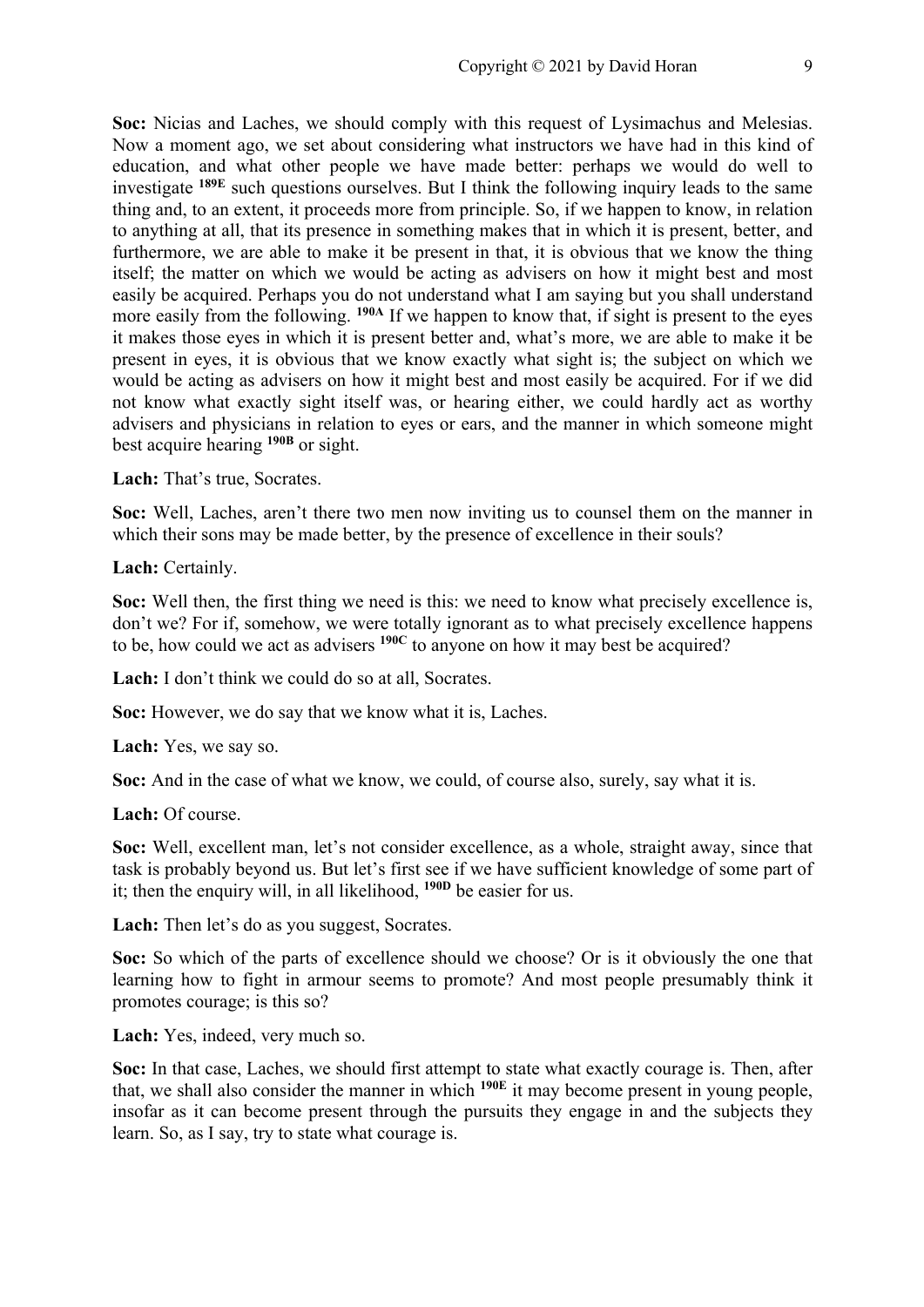**Soc:** Nicias and Laches, we should comply with this request of Lysimachus and Melesias. Now a moment ago, we set about considering what instructors we have had in this kind of education, and what other people we have made better: perhaps we would do well to investigate **189E** such questions ourselves. But I think the following inquiry leads to the same thing and, to an extent, it proceeds more from principle. So, if we happen to know, in relation to anything at all, that its presence in something makes that in which it is present, better, and furthermore, we are able to make it be present in that, it is obvious that we know the thing itself; the matter on which we would be acting as advisers on how it might best and most easily be acquired. Perhaps you do not understand what I am saying but you shall understand more easily from the following. <sup>190A</sup> If we happen to know that, if sight is present to the eyes it makes those eyes in which it is present better and, what's more, we are able to make it be present in eyes, it is obvious that we know exactly what sight is; the subject on which we would be acting as advisers on how it might best and most easily be acquired. For if we did not know what exactly sight itself was, or hearing either, we could hardly act as worthy advisers and physicians in relation to eyes or ears, and the manner in which someone might best acquire hearing **190B** or sight.

**Lach:** That's true, Socrates.

**Soc:** Well, Laches, aren't there two men now inviting us to counsel them on the manner in which their sons may be made better, by the presence of excellence in their souls?

**Lach:** Certainly.

**Soc:** Well then, the first thing we need is this: we need to know what precisely excellence is, don't we? For if, somehow, we were totally ignorant as to what precisely excellence happens to be, how could we act as advisers **190C** to anyone on how it may best be acquired?

Lach: I don't think we could do so at all. Socrates.

**Soc:** However, we do say that we know what it is, Laches.

**Lach:** Yes, we say so.

**Soc:** And in the case of what we know, we could, of course also, surely, say what it is.

**Lach:** Of course.

**Soc:** Well, excellent man, let's not consider excellence, as a whole, straight away, since that task is probably beyond us. But let's first see if we have sufficient knowledge of some part of it; then the enquiry will, in all likelihood, **190D** be easier for us.

Lach: Then let's do as you suggest, Socrates.

**Soc:** So which of the parts of excellence should we choose? Or is it obviously the one that learning how to fight in armour seems to promote? And most people presumably think it promotes courage; is this so?

**Lach:** Yes, indeed, very much so.

**Soc:** In that case, Laches, we should first attempt to state what exactly courage is. Then, after that, we shall also consider the manner in which **190E** it may become present in young people, insofar as it can become present through the pursuits they engage in and the subjects they learn. So, as I say, try to state what courage is.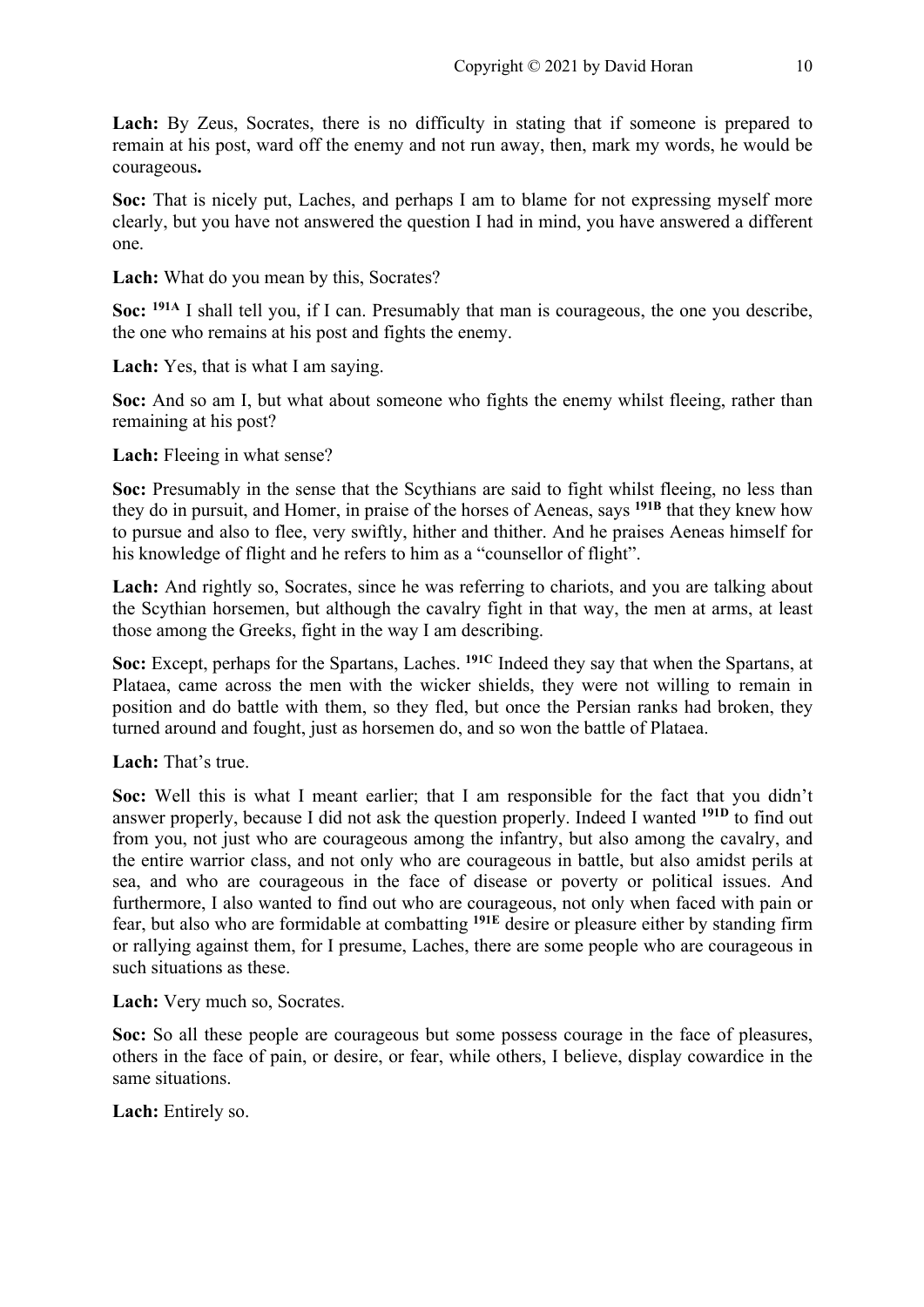Lach: By Zeus, Socrates, there is no difficulty in stating that if someone is prepared to remain at his post, ward off the enemy and not run away, then, mark my words, he would be courageous**.** 

**Soc:** That is nicely put, Laches, and perhaps I am to blame for not expressing myself more clearly, but you have not answered the question I had in mind, you have answered a different one.

**Lach:** What do you mean by this, Socrates?

**Soc: 191A** I shall tell you, if I can. Presumably that man is courageous, the one you describe, the one who remains at his post and fights the enemy.

**Lach:** Yes, that is what I am saying.

**Soc:** And so am I, but what about someone who fights the enemy whilst fleeing, rather than remaining at his post?

Lach: Fleeing in what sense?

**Soc:** Presumably in the sense that the Scythians are said to fight whilst fleeing, no less than they do in pursuit, and Homer, in praise of the horses of Aeneas, says **191B** that they knew how to pursue and also to flee, very swiftly, hither and thither. And he praises Aeneas himself for his knowledge of flight and he refers to him as a "counsellor of flight".

Lach: And rightly so, Socrates, since he was referring to chariots, and you are talking about the Scythian horsemen, but although the cavalry fight in that way, the men at arms, at least those among the Greeks, fight in the way I am describing.

**Soc:** Except, perhaps for the Spartans, Laches. **191C** Indeed they say that when the Spartans, at Plataea, came across the men with the wicker shields, they were not willing to remain in position and do battle with them, so they fled, but once the Persian ranks had broken, they turned around and fought, just as horsemen do, and so won the battle of Plataea.

**Lach:** That's true.

**Soc:** Well this is what I meant earlier; that I am responsible for the fact that you didn't answer properly, because I did not ask the question properly. Indeed I wanted **191D** to find out from you, not just who are courageous among the infantry, but also among the cavalry, and the entire warrior class, and not only who are courageous in battle, but also amidst perils at sea, and who are courageous in the face of disease or poverty or political issues. And furthermore, I also wanted to find out who are courageous, not only when faced with pain or fear, but also who are formidable at combatting **191E** desire or pleasure either by standing firm or rallying against them, for I presume, Laches, there are some people who are courageous in such situations as these.

**Lach:** Very much so, Socrates.

**Soc:** So all these people are courageous but some possess courage in the face of pleasures, others in the face of pain, or desire, or fear, while others, I believe, display cowardice in the same situations.

**Lach:** Entirely so.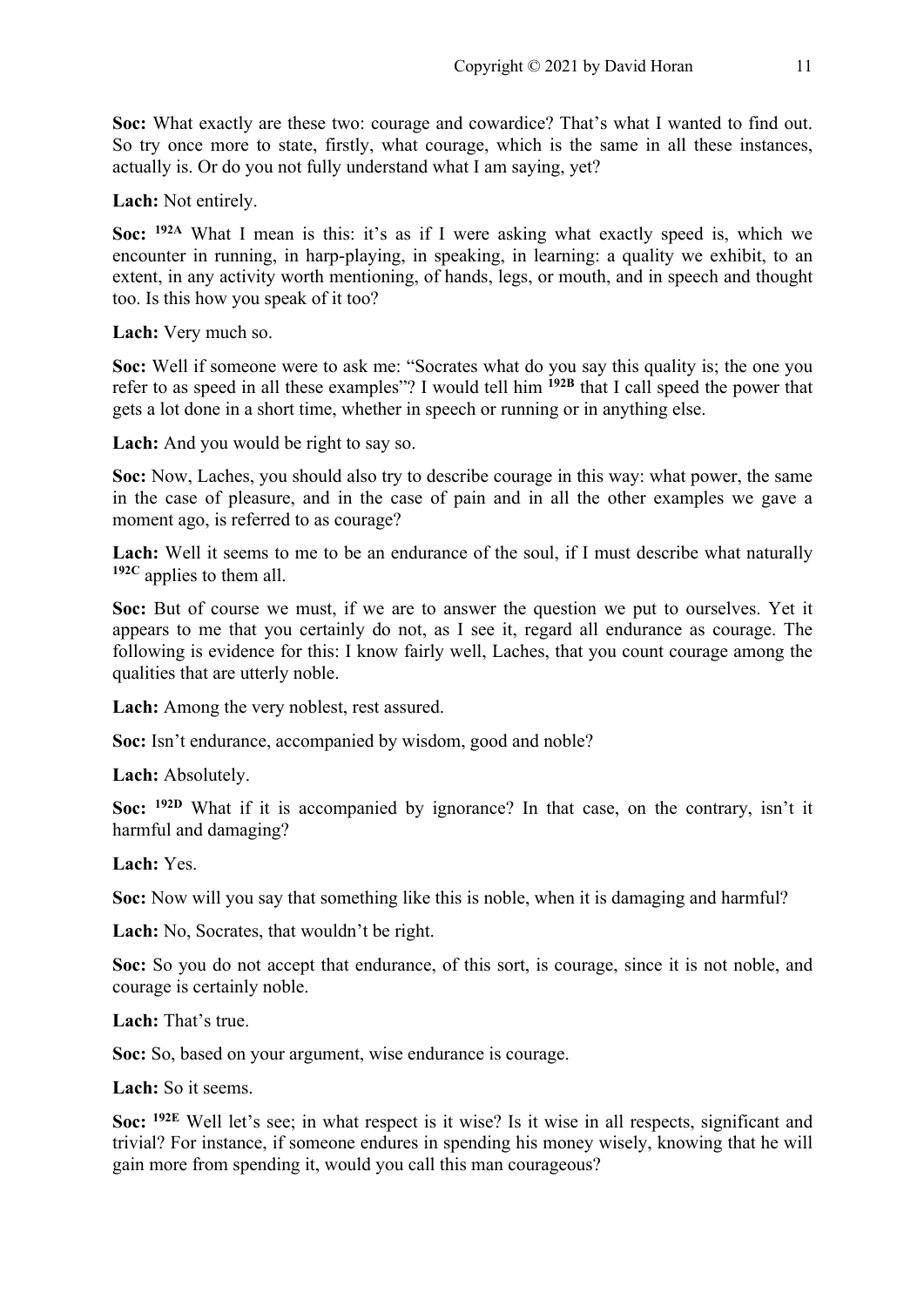**Soc:** What exactly are these two: courage and cowardice? That's what I wanted to find out. So try once more to state, firstly, what courage, which is the same in all these instances, actually is. Or do you not fully understand what I am saying, yet?

**Lach:** Not entirely.

**Soc: 192A** What I mean is this: it's as if I were asking what exactly speed is, which we encounter in running, in harp-playing, in speaking, in learning: a quality we exhibit, to an extent, in any activity worth mentioning, of hands, legs, or mouth, and in speech and thought too. Is this how you speak of it too?

**Lach:** Very much so.

**Soc:** Well if someone were to ask me: "Socrates what do you say this quality is; the one you refer to as speed in all these examples"? I would tell him <sup>192B</sup> that I call speed the power that gets a lot done in a short time, whether in speech or running or in anything else.

**Lach:** And you would be right to say so.

**Soc:** Now, Laches, you should also try to describe courage in this way: what power, the same in the case of pleasure, and in the case of pain and in all the other examples we gave a moment ago, is referred to as courage?

Lach: Well it seems to me to be an endurance of the soul, if I must describe what naturally **192C** applies to them all.

**Soc:** But of course we must, if we are to answer the question we put to ourselves. Yet it appears to me that you certainly do not, as I see it, regard all endurance as courage. The following is evidence for this: I know fairly well, Laches, that you count courage among the qualities that are utterly noble.

**Lach:** Among the very noblest, rest assured.

**Soc:** Isn't endurance, accompanied by wisdom, good and noble?

**Lach:** Absolutely.

**Soc: 192D** What if it is accompanied by ignorance? In that case, on the contrary, isn't it harmful and damaging?

**Lach:** Yes.

**Soc:** Now will you say that something like this is noble, when it is damaging and harmful?

Lach: No, Socrates, that wouldn't be right.

**Soc:** So you do not accept that endurance, of this sort, is courage, since it is not noble, and courage is certainly noble.

**Lach:** That's true.

**Soc:** So, based on your argument, wise endurance is courage.

**Lach:** So it seems.

**Soc: 192E** Well let's see; in what respect is it wise? Is it wise in all respects, significant and trivial? For instance, if someone endures in spending his money wisely, knowing that he will gain more from spending it, would you call this man courageous?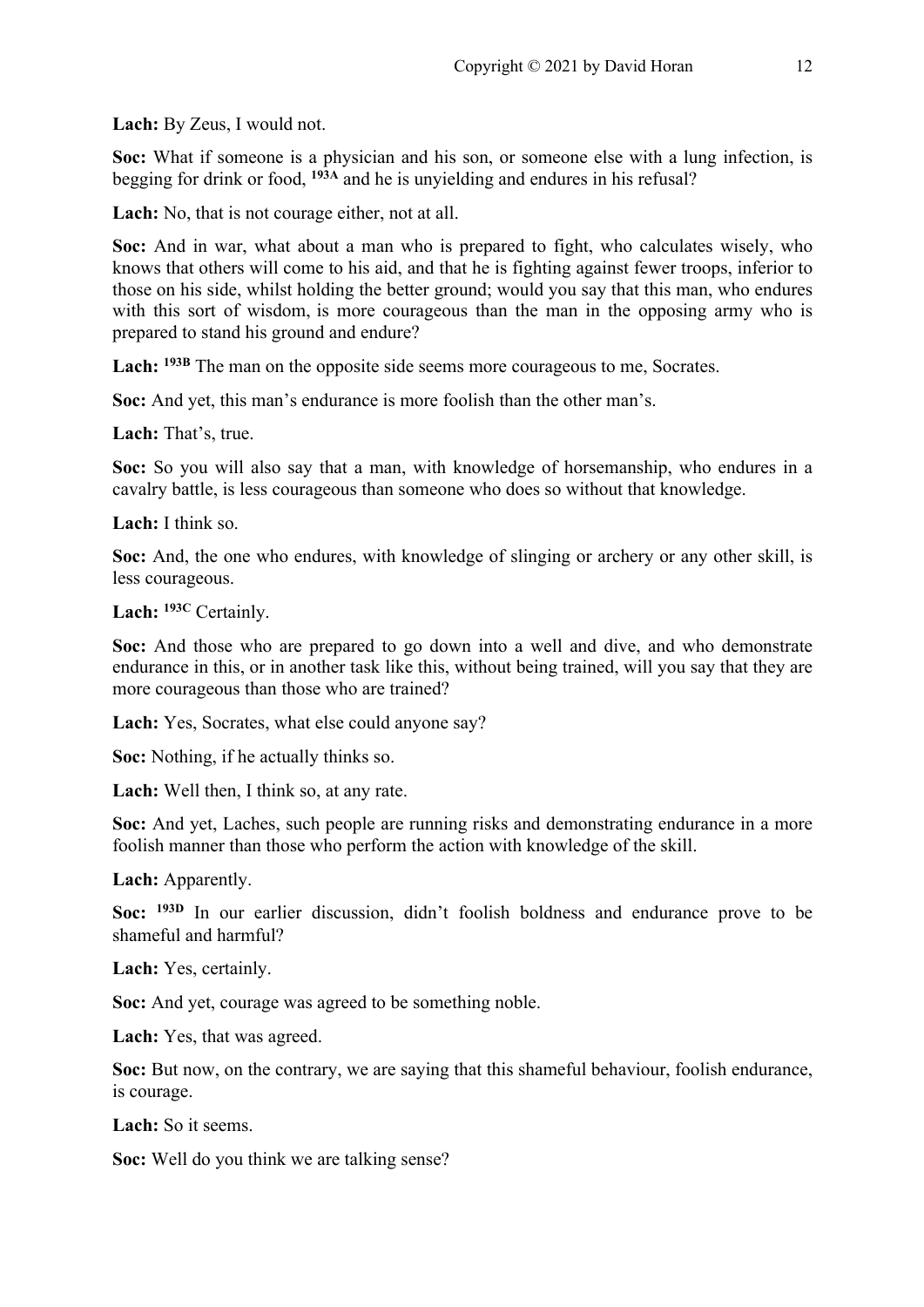**Lach:** By Zeus, I would not.

**Soc:** What if someone is a physician and his son, or someone else with a lung infection, is begging for drink or food, **193A** and he is unyielding and endures in his refusal?

**Lach:** No, that is not courage either, not at all.

**Soc:** And in war, what about a man who is prepared to fight, who calculates wisely, who knows that others will come to his aid, and that he is fighting against fewer troops, inferior to those on his side, whilst holding the better ground; would you say that this man, who endures with this sort of wisdom, is more courageous than the man in the opposing army who is prepared to stand his ground and endure?

**Lach: 193B** The man on the opposite side seems more courageous to me, Socrates.

**Soc:** And yet, this man's endurance is more foolish than the other man's.

**Lach:** That's, true.

**Soc:** So you will also say that a man, with knowledge of horsemanship, who endures in a cavalry battle, is less courageous than someone who does so without that knowledge.

**Lach:** I think so.

**Soc:** And, the one who endures, with knowledge of slinging or archery or any other skill, is less courageous.

**Lach: 193C** Certainly.

**Soc:** And those who are prepared to go down into a well and dive, and who demonstrate endurance in this, or in another task like this, without being trained, will you say that they are more courageous than those who are trained?

**Lach:** Yes, Socrates, what else could anyone say?

**Soc:** Nothing, if he actually thinks so.

**Lach:** Well then, I think so, at any rate.

**Soc:** And yet, Laches, such people are running risks and demonstrating endurance in a more foolish manner than those who perform the action with knowledge of the skill.

**Lach:** Apparently.

**Soc: 193D** In our earlier discussion, didn't foolish boldness and endurance prove to be shameful and harmful?

**Lach:** Yes, certainly.

**Soc:** And yet, courage was agreed to be something noble.

**Lach:** Yes, that was agreed.

**Soc:** But now, on the contrary, we are saying that this shameful behaviour, foolish endurance, is courage.

**Lach:** So it seems.

**Soc:** Well do you think we are talking sense?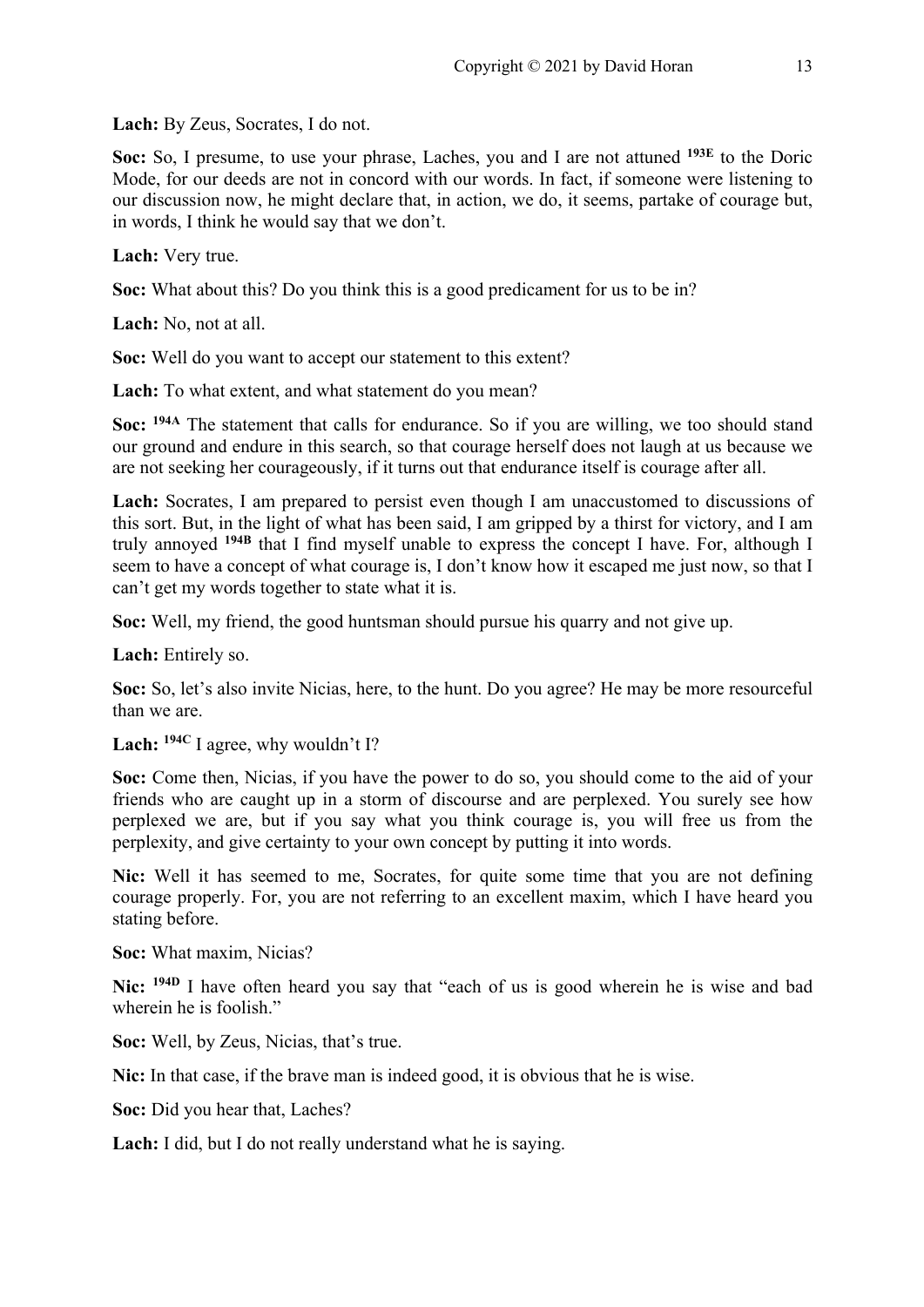**Lach:** By Zeus, Socrates, I do not.

**Soc:** So, I presume, to use your phrase, Laches, you and I are not attuned **193E** to the Doric Mode, for our deeds are not in concord with our words. In fact, if someone were listening to our discussion now, he might declare that, in action, we do, it seems, partake of courage but, in words, I think he would say that we don't.

**Lach:** Very true.

**Soc:** What about this? Do you think this is a good predicament for us to be in?

**Lach:** No, not at all.

**Soc:** Well do you want to accept our statement to this extent?

**Lach:** To what extent, and what statement do you mean?

**Soc: 194A** The statement that calls for endurance. So if you are willing, we too should stand our ground and endure in this search, so that courage herself does not laugh at us because we are not seeking her courageously, if it turns out that endurance itself is courage after all.

**Lach:** Socrates, I am prepared to persist even though I am unaccustomed to discussions of this sort. But, in the light of what has been said, I am gripped by a thirst for victory, and I am truly annoyed **194B** that I find myself unable to express the concept I have. For, although I seem to have a concept of what courage is, I don't know how it escaped me just now, so that I can't get my words together to state what it is.

**Soc:** Well, my friend, the good huntsman should pursue his quarry and not give up.

**Lach:** Entirely so.

**Soc:** So, let's also invite Nicias, here, to the hunt. Do you agree? He may be more resourceful than we are.

**Lach: 194C** I agree, why wouldn't I?

Soc: Come then, Nicias, if you have the power to do so, you should come to the aid of your friends who are caught up in a storm of discourse and are perplexed. You surely see how perplexed we are, but if you say what you think courage is, you will free us from the perplexity, and give certainty to your own concept by putting it into words.

**Nic:** Well it has seemed to me, Socrates, for quite some time that you are not defining courage properly. For, you are not referring to an excellent maxim, which I have heard you stating before.

**Soc:** What maxim, Nicias?

**Nic: 194D** I have often heard you say that "each of us is good wherein he is wise and bad wherein he is foolish."

**Soc:** Well, by Zeus, Nicias, that's true.

**Nic:** In that case, if the brave man is indeed good, it is obvious that he is wise.

**Soc:** Did you hear that, Laches?

**Lach:** I did, but I do not really understand what he is saying.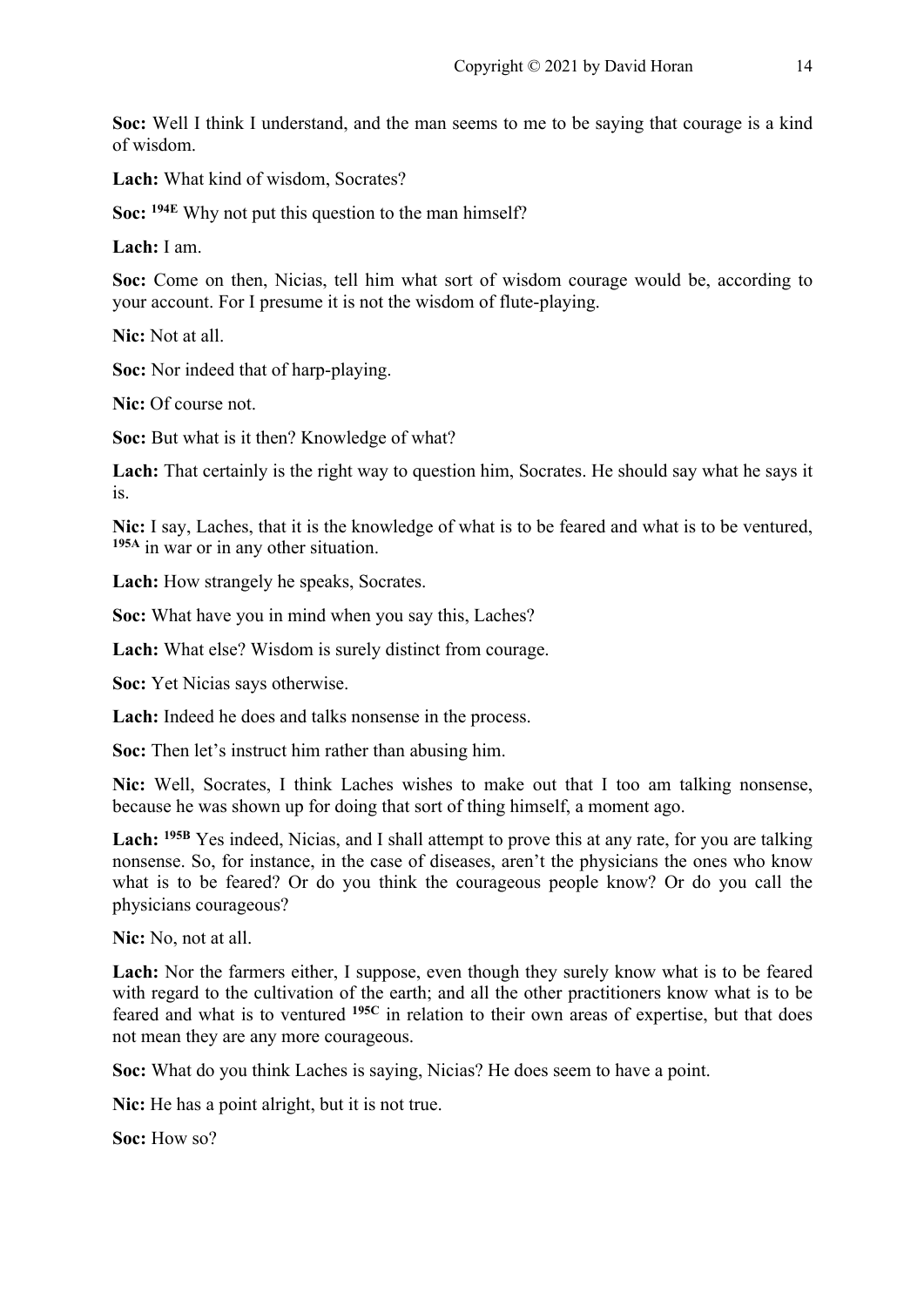**Soc:** Well I think I understand, and the man seems to me to be saying that courage is a kind of wisdom.

**Lach:** What kind of wisdom, Socrates?

**Soc: 194E** Why not put this question to the man himself?

**Lach:** I am.

**Soc:** Come on then, Nicias, tell him what sort of wisdom courage would be, according to your account. For I presume it is not the wisdom of flute-playing.

**Nic:** Not at all.

**Soc:** Nor indeed that of harp-playing.

**Nic:** Of course not.

**Soc:** But what is it then? Knowledge of what?

Lach: That certainly is the right way to question him, Socrates. He should say what he says it is.

**Nic:** I say, Laches, that it is the knowledge of what is to be feared and what is to be ventured, **195A** in war or in any other situation.

**Lach:** How strangely he speaks, Socrates.

**Soc:** What have you in mind when you say this, Laches?

**Lach:** What else? Wisdom is surely distinct from courage.

**Soc:** Yet Nicias says otherwise.

**Lach:** Indeed he does and talks nonsense in the process.

**Soc:** Then let's instruct him rather than abusing him.

**Nic:** Well, Socrates, I think Laches wishes to make out that I too am talking nonsense, because he was shown up for doing that sort of thing himself, a moment ago.

**Lach: 195B** Yes indeed, Nicias, and I shall attempt to prove this at any rate, for you are talking nonsense. So, for instance, in the case of diseases, aren't the physicians the ones who know what is to be feared? Or do you think the courageous people know? Or do you call the physicians courageous?

**Nic:** No, not at all.

Lach: Nor the farmers either, I suppose, even though they surely know what is to be feared with regard to the cultivation of the earth; and all the other practitioners know what is to be feared and what is to ventured **195C** in relation to their own areas of expertise, but that does not mean they are any more courageous.

**Soc:** What do you think Laches is saying, Nicias? He does seem to have a point.

**Nic:** He has a point alright, but it is not true.

**Soc:** How so?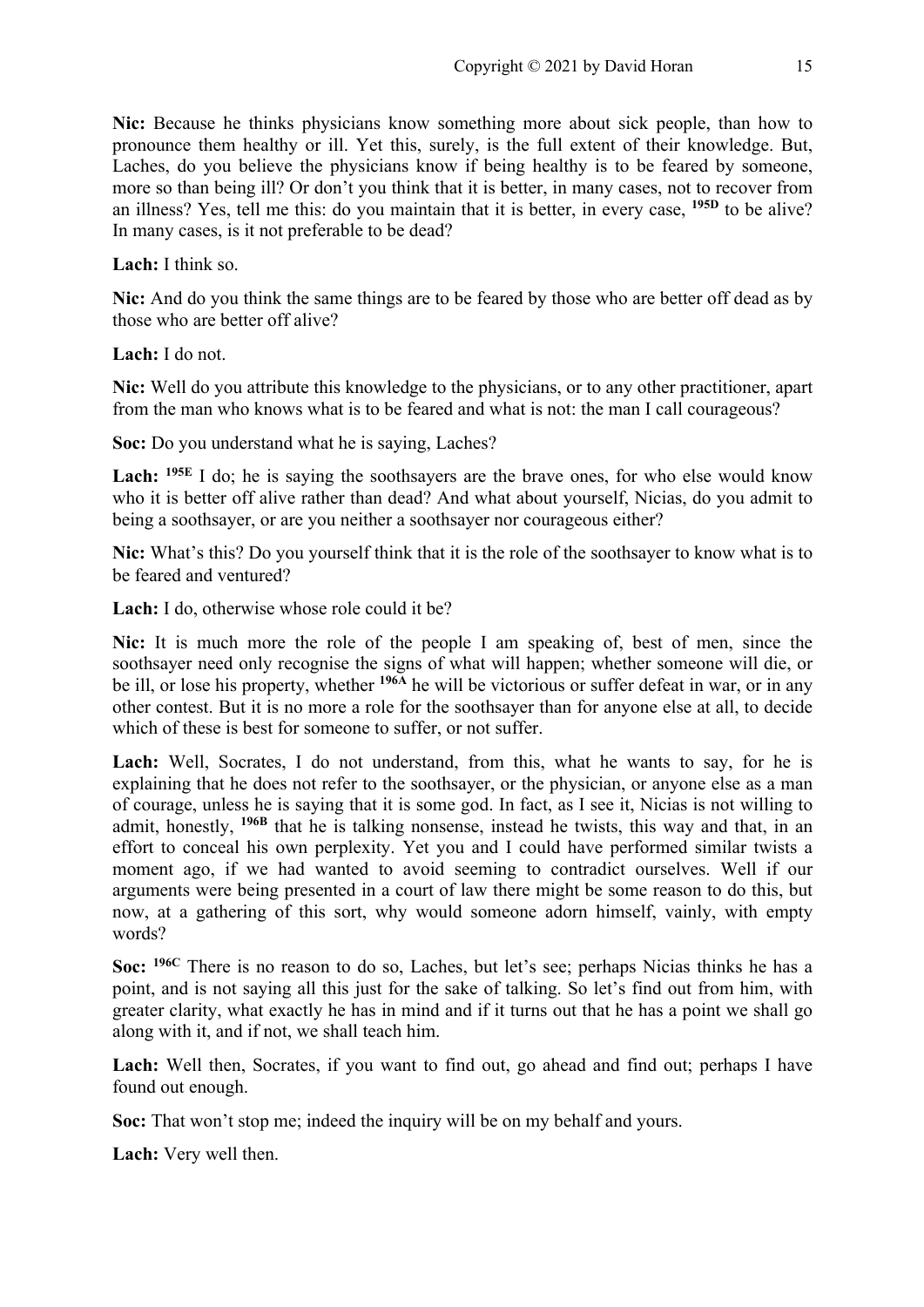**Nic:** Because he thinks physicians know something more about sick people, than how to pronounce them healthy or ill. Yet this, surely, is the full extent of their knowledge. But, Laches, do you believe the physicians know if being healthy is to be feared by someone, more so than being ill? Or don't you think that it is better, in many cases, not to recover from an illness? Yes, tell me this: do you maintain that it is better, in every case, **195D** to be alive? In many cases, is it not preferable to be dead?

**Lach:** I think so.

**Nic:** And do you think the same things are to be feared by those who are better off dead as by those who are better off alive?

**Lach:** I do not.

**Nic:** Well do you attribute this knowledge to the physicians, or to any other practitioner, apart from the man who knows what is to be feared and what is not: the man I call courageous?

**Soc:** Do you understand what he is saying, Laches?

Lach: <sup>195E</sup> I do; he is saying the soothsayers are the brave ones, for who else would know who it is better off alive rather than dead? And what about yourself, Nicias, do you admit to being a soothsayer, or are you neither a soothsayer nor courageous either?

**Nic:** What's this? Do you yourself think that it is the role of the soothsayer to know what is to be feared and ventured?

**Lach:** I do, otherwise whose role could it be?

**Nic:** It is much more the role of the people I am speaking of, best of men, since the soothsayer need only recognise the signs of what will happen; whether someone will die, or be ill, or lose his property, whether <sup>1964</sup> he will be victorious or suffer defeat in war, or in any other contest. But it is no more a role for the soothsayer than for anyone else at all, to decide which of these is best for someone to suffer, or not suffer.

Lach: Well, Socrates, I do not understand, from this, what he wants to say, for he is explaining that he does not refer to the soothsayer, or the physician, or anyone else as a man of courage, unless he is saying that it is some god. In fact, as I see it, Nicias is not willing to admit, honestly, **196B** that he is talking nonsense, instead he twists, this way and that, in an effort to conceal his own perplexity. Yet you and I could have performed similar twists a moment ago, if we had wanted to avoid seeming to contradict ourselves. Well if our arguments were being presented in a court of law there might be some reason to do this, but now, at a gathering of this sort, why would someone adorn himself, vainly, with empty words?

**Soc: 196C** There is no reason to do so, Laches, but let's see; perhaps Nicias thinks he has a point, and is not saying all this just for the sake of talking. So let's find out from him, with greater clarity, what exactly he has in mind and if it turns out that he has a point we shall go along with it, and if not, we shall teach him.

Lach: Well then, Socrates, if you want to find out, go ahead and find out; perhaps I have found out enough.

**Soc:** That won't stop me; indeed the inquiry will be on my behalf and yours.

**Lach:** Very well then.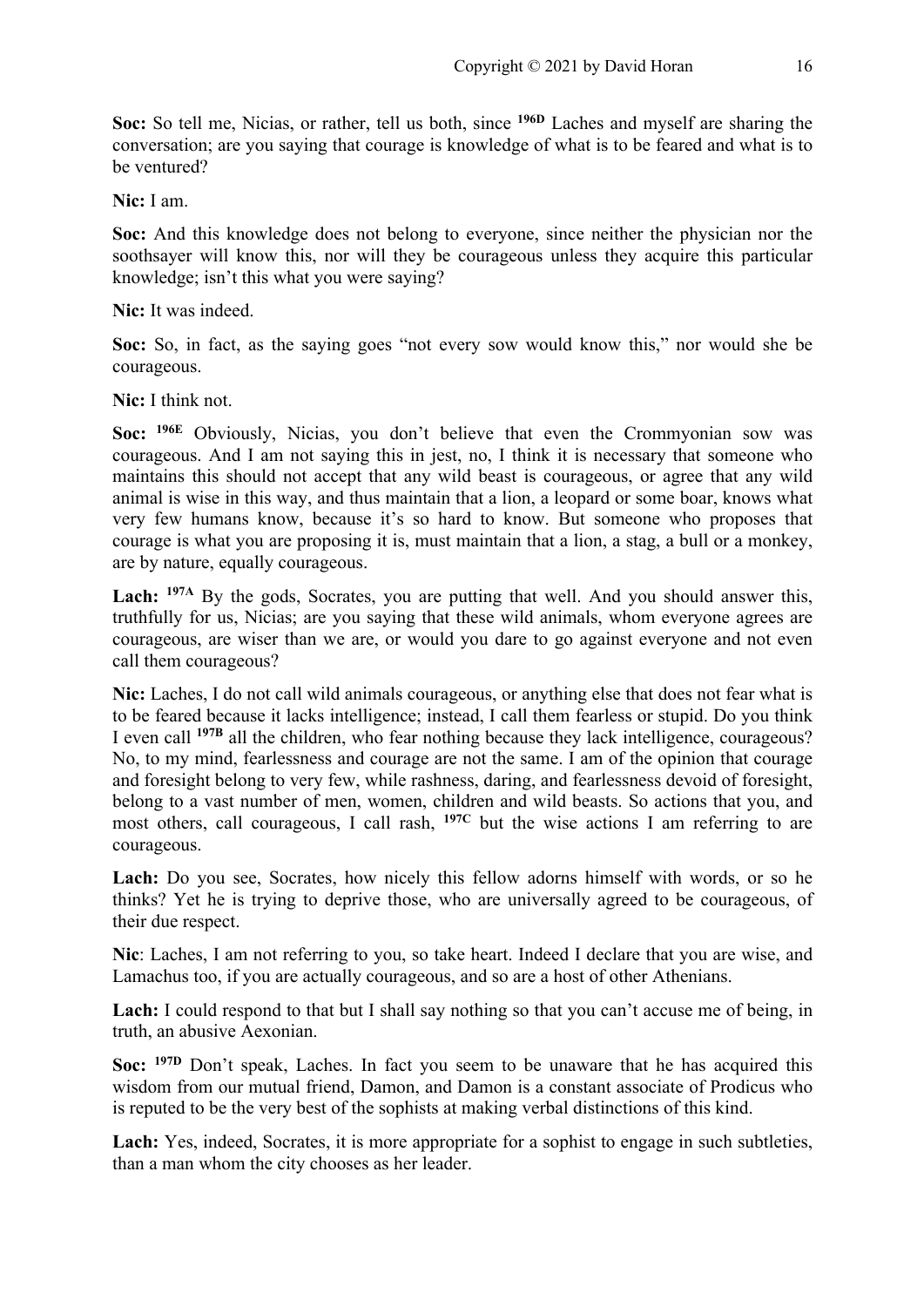**Soc:** So tell me, Nicias, or rather, tell us both, since **196D** Laches and myself are sharing the conversation; are you saying that courage is knowledge of what is to be feared and what is to be ventured?

**Nic:** I am.

**Soc:** And this knowledge does not belong to everyone, since neither the physician nor the soothsayer will know this, nor will they be courageous unless they acquire this particular knowledge; isn't this what you were saying?

**Nic:** It was indeed.

**Soc:** So, in fact, as the saying goes "not every sow would know this," nor would she be courageous.

**Nic:** I think not.

**Soc: 196E** Obviously, Nicias, you don't believe that even the Crommyonian sow was courageous. And I am not saying this in jest, no, I think it is necessary that someone who maintains this should not accept that any wild beast is courageous, or agree that any wild animal is wise in this way, and thus maintain that a lion, a leopard or some boar, knows what very few humans know, because it's so hard to know. But someone who proposes that courage is what you are proposing it is, must maintain that a lion, a stag, a bull or a monkey, are by nature, equally courageous.

Lach: <sup>197A</sup> By the gods, Socrates, you are putting that well. And you should answer this, truthfully for us, Nicias; are you saying that these wild animals, whom everyone agrees are courageous, are wiser than we are, or would you dare to go against everyone and not even call them courageous?

**Nic:** Laches, I do not call wild animals courageous, or anything else that does not fear what is to be feared because it lacks intelligence; instead, I call them fearless or stupid. Do you think I even call **197B** all the children, who fear nothing because they lack intelligence, courageous? No, to my mind, fearlessness and courage are not the same. I am of the opinion that courage and foresight belong to very few, while rashness, daring, and fearlessness devoid of foresight, belong to a vast number of men, women, children and wild beasts. So actions that you, and most others, call courageous, I call rash, **197C** but the wise actions I am referring to are courageous.

Lach: Do you see, Socrates, how nicely this fellow adorns himself with words, or so he thinks? Yet he is trying to deprive those, who are universally agreed to be courageous, of their due respect.

**Nic**: Laches, I am not referring to you, so take heart. Indeed I declare that you are wise, and Lamachus too, if you are actually courageous, and so are a host of other Athenians.

Lach: I could respond to that but I shall say nothing so that you can't accuse me of being, in truth, an abusive Aexonian.

**Soc: 197D** Don't speak, Laches. In fact you seem to be unaware that he has acquired this wisdom from our mutual friend, Damon, and Damon is a constant associate of Prodicus who is reputed to be the very best of the sophists at making verbal distinctions of this kind.

Lach: Yes, indeed, Socrates, it is more appropriate for a sophist to engage in such subtleties, than a man whom the city chooses as her leader.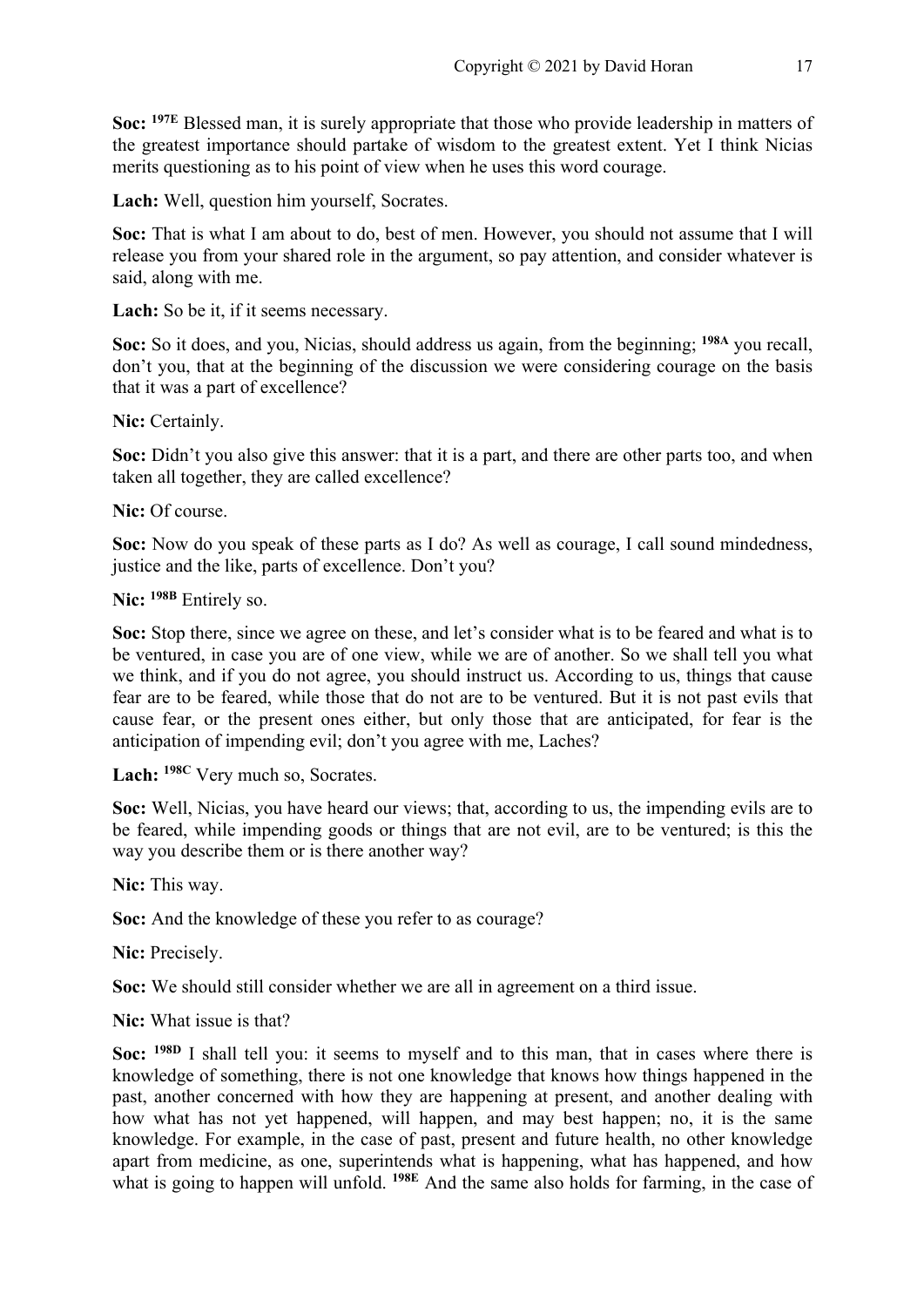**Soc: 197E** Blessed man, it is surely appropriate that those who provide leadership in matters of the greatest importance should partake of wisdom to the greatest extent. Yet I think Nicias merits questioning as to his point of view when he uses this word courage.

**Lach:** Well, question him yourself, Socrates.

**Soc:** That is what I am about to do, best of men. However, you should not assume that I will release you from your shared role in the argument, so pay attention, and consider whatever is said, along with me.

**Lach:** So be it, if it seems necessary.

**Soc:** So it does, and you, Nicias, should address us again, from the beginning; **198A** you recall, don't you, that at the beginning of the discussion we were considering courage on the basis that it was a part of excellence?

**Nic:** Certainly.

**Soc:** Didn't you also give this answer: that it is a part, and there are other parts too, and when taken all together, they are called excellence?

**Nic:** Of course.

**Soc:** Now do you speak of these parts as I do? As well as courage, I call sound mindedness, justice and the like, parts of excellence. Don't you?

**Nic: 198B** Entirely so.

**Soc:** Stop there, since we agree on these, and let's consider what is to be feared and what is to be ventured, in case you are of one view, while we are of another. So we shall tell you what we think, and if you do not agree, you should instruct us. According to us, things that cause fear are to be feared, while those that do not are to be ventured. But it is not past evils that cause fear, or the present ones either, but only those that are anticipated, for fear is the anticipation of impending evil; don't you agree with me, Laches?

**Lach: 198C** Very much so, Socrates.

**Soc:** Well, Nicias, you have heard our views; that, according to us, the impending evils are to be feared, while impending goods or things that are not evil, are to be ventured; is this the way you describe them or is there another way?

**Nic:** This way.

**Soc:** And the knowledge of these you refer to as courage?

**Nic:** Precisely.

**Soc:** We should still consider whether we are all in agreement on a third issue.

**Nic:** What issue is that?

**Soc: 198D** I shall tell you: it seems to myself and to this man, that in cases where there is knowledge of something, there is not one knowledge that knows how things happened in the past, another concerned with how they are happening at present, and another dealing with how what has not yet happened, will happen, and may best happen; no, it is the same knowledge. For example, in the case of past, present and future health, no other knowledge apart from medicine, as one, superintends what is happening, what has happened, and how what is going to happen will unfold. **198E** And the same also holds for farming, in the case of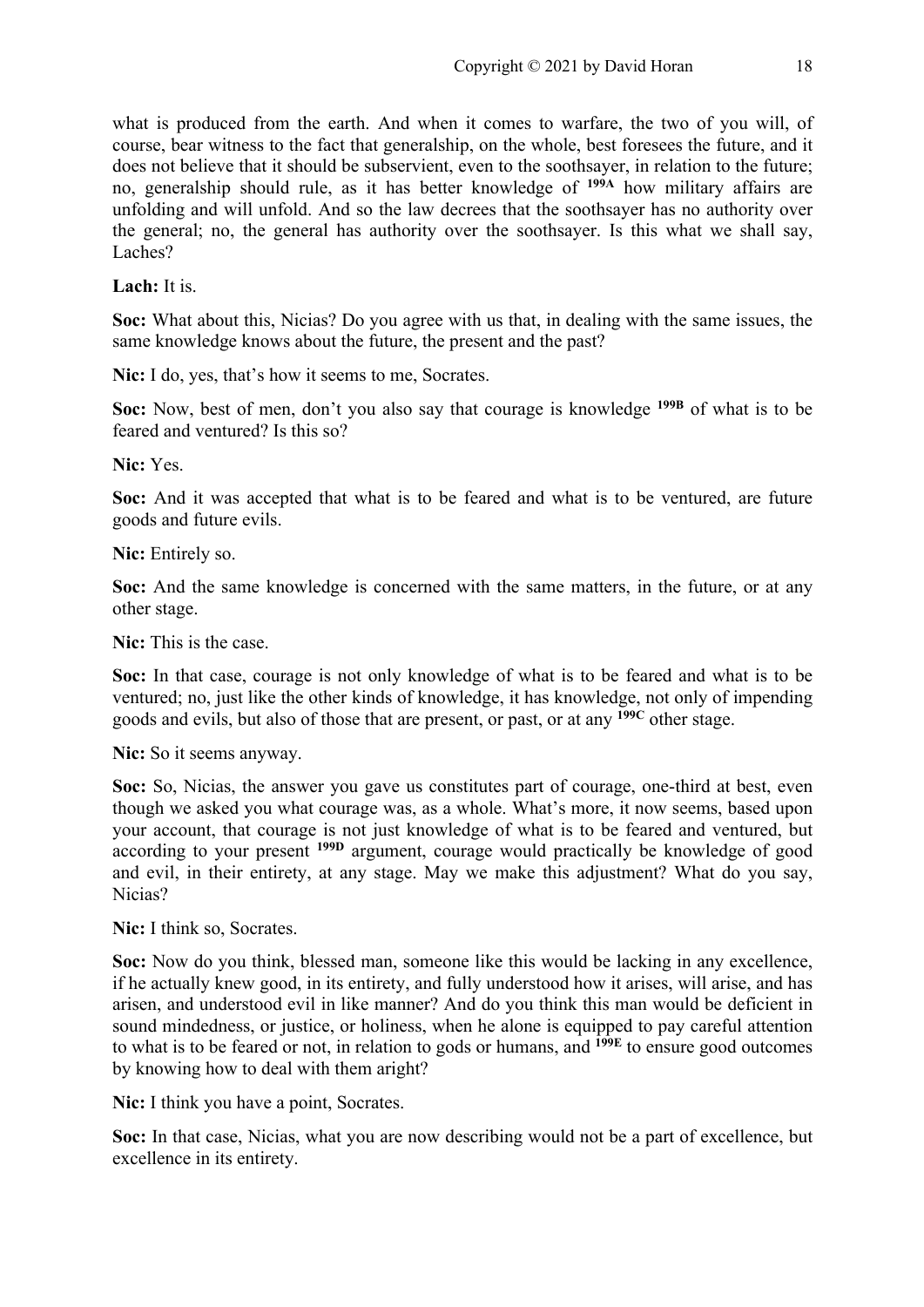what is produced from the earth. And when it comes to warfare, the two of you will, of course, bear witness to the fact that generalship, on the whole, best foresees the future, and it does not believe that it should be subservient, even to the soothsayer, in relation to the future; no, generalship should rule, as it has better knowledge of **199A** how military affairs are unfolding and will unfold. And so the law decrees that the soothsayer has no authority over the general; no, the general has authority over the soothsayer. Is this what we shall say, Laches?

**Lach:** It is.

**Soc:** What about this, Nicias? Do you agree with us that, in dealing with the same issues, the same knowledge knows about the future, the present and the past?

Nic: I do, yes, that's how it seems to me, Socrates.

**Soc:** Now, best of men, don't you also say that courage is knowledge **199B** of what is to be feared and ventured? Is this so?

**Nic:** Yes.

**Soc:** And it was accepted that what is to be feared and what is to be ventured, are future goods and future evils.

**Nic:** Entirely so.

**Soc:** And the same knowledge is concerned with the same matters, in the future, or at any other stage.

**Nic:** This is the case.

**Soc:** In that case, courage is not only knowledge of what is to be feared and what is to be ventured; no, just like the other kinds of knowledge, it has knowledge, not only of impending goods and evils, but also of those that are present, or past, or at any **199C** other stage.

**Nic:** So it seems anyway.

**Soc:** So, Nicias, the answer you gave us constitutes part of courage, one-third at best, even though we asked you what courage was, as a whole. What's more, it now seems, based upon your account, that courage is not just knowledge of what is to be feared and ventured, but according to your present **199D** argument, courage would practically be knowledge of good and evil, in their entirety, at any stage. May we make this adjustment? What do you say, Nicias?

**Nic:** I think so, Socrates.

**Soc:** Now do you think, blessed man, someone like this would be lacking in any excellence, if he actually knew good, in its entirety, and fully understood how it arises, will arise, and has arisen, and understood evil in like manner? And do you think this man would be deficient in sound mindedness, or justice, or holiness, when he alone is equipped to pay careful attention to what is to be feared or not, in relation to gods or humans, and **199E** to ensure good outcomes by knowing how to deal with them aright?

Nic: I think you have a point, Socrates.

**Soc:** In that case, Nicias, what you are now describing would not be a part of excellence, but excellence in its entirety.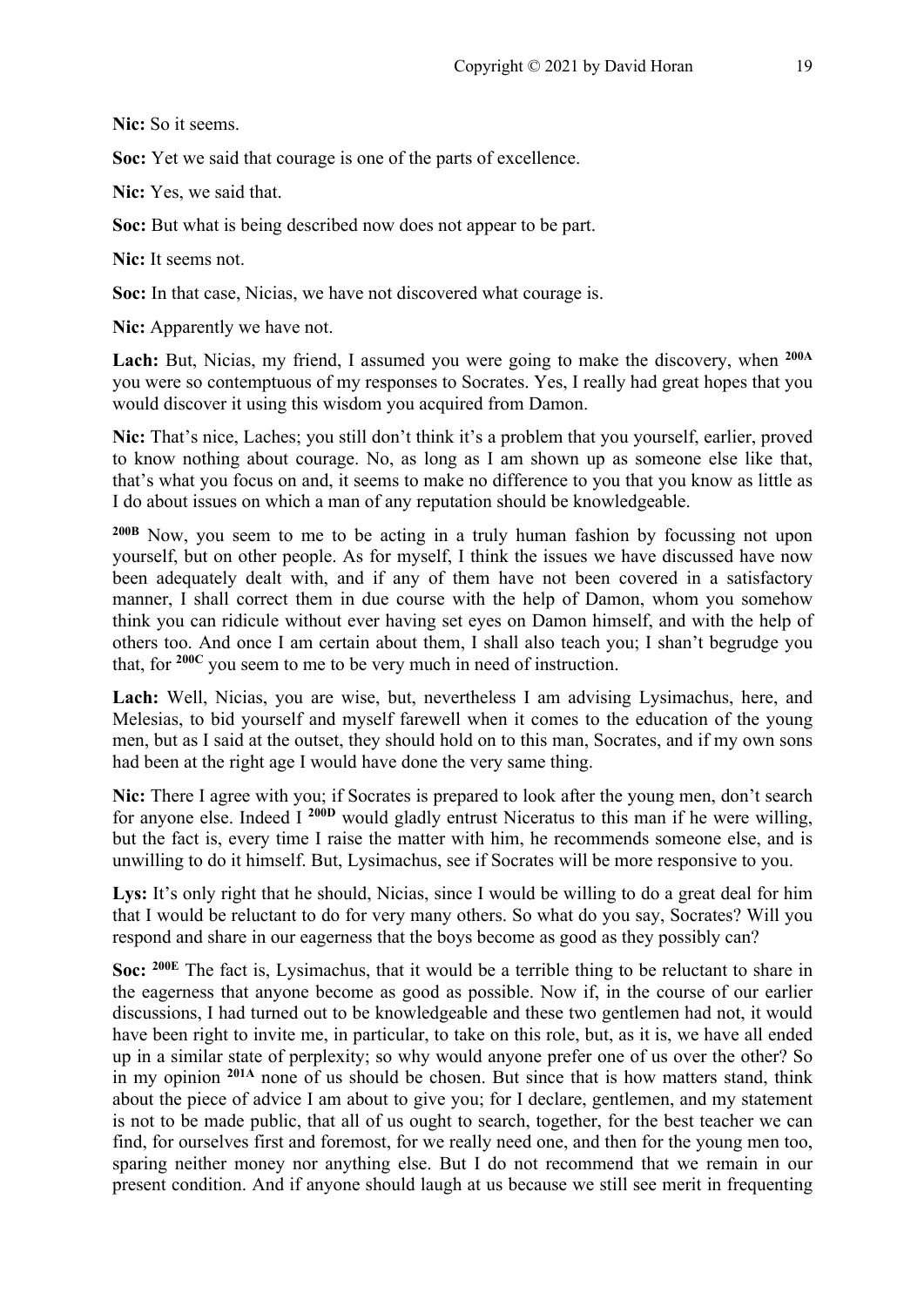**Nic:** So it seems.

**Soc:** Yet we said that courage is one of the parts of excellence.

**Nic:** Yes, we said that.

**Soc:** But what is being described now does not appear to be part.

**Nic:** It seems not.

**Soc:** In that case, Nicias, we have not discovered what courage is.

**Nic:** Apparently we have not.

**Lach:** But, Nicias, my friend, I assumed you were going to make the discovery, when **200A** you were so contemptuous of my responses to Socrates. Yes, I really had great hopes that you would discover it using this wisdom you acquired from Damon.

**Nic:** That's nice, Laches; you still don't think it's a problem that you yourself, earlier, proved to know nothing about courage. No, as long as I am shown up as someone else like that, that's what you focus on and, it seems to make no difference to you that you know as little as I do about issues on which a man of any reputation should be knowledgeable.

**200B** Now, you seem to me to be acting in a truly human fashion by focussing not upon yourself, but on other people. As for myself, I think the issues we have discussed have now been adequately dealt with, and if any of them have not been covered in a satisfactory manner, I shall correct them in due course with the help of Damon, whom you somehow think you can ridicule without ever having set eyes on Damon himself, and with the help of others too. And once I am certain about them, I shall also teach you; I shan't begrudge you that, for **200C** you seem to me to be very much in need of instruction.

**Lach:** Well, Nicias, you are wise, but, nevertheless I am advising Lysimachus, here, and Melesias, to bid yourself and myself farewell when it comes to the education of the young men, but as I said at the outset, they should hold on to this man, Socrates, and if my own sons had been at the right age I would have done the very same thing.

**Nic:** There I agree with you; if Socrates is prepared to look after the young men, don't search for anyone else. Indeed I **200D** would gladly entrust Niceratus to this man if he were willing, but the fact is, every time I raise the matter with him, he recommends someone else, and is unwilling to do it himself. But, Lysimachus, see if Socrates will be more responsive to you.

Lys: It's only right that he should, Nicias, since I would be willing to do a great deal for him that I would be reluctant to do for very many others. So what do you say, Socrates? Will you respond and share in our eagerness that the boys become as good as they possibly can?

**Soc: 200E** The fact is, Lysimachus, that it would be a terrible thing to be reluctant to share in the eagerness that anyone become as good as possible. Now if, in the course of our earlier discussions, I had turned out to be knowledgeable and these two gentlemen had not, it would have been right to invite me, in particular, to take on this role, but, as it is, we have all ended up in a similar state of perplexity; so why would anyone prefer one of us over the other? So in my opinion **201A** none of us should be chosen. But since that is how matters stand, think about the piece of advice I am about to give you; for I declare, gentlemen, and my statement is not to be made public, that all of us ought to search, together, for the best teacher we can find, for ourselves first and foremost, for we really need one, and then for the young men too, sparing neither money nor anything else. But I do not recommend that we remain in our present condition. And if anyone should laugh at us because we still see merit in frequenting